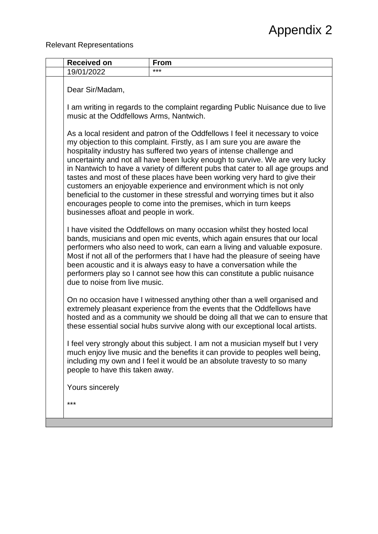Relevant Representations

| <b>Received on</b>                                                                                                                                                                                                                                                                                                                                                                                                                                                                                                                                                                                                                                                                                                                                    | <b>From</b>                                                                                                                                                                                                                                                                                                                                                                                                                                                             |
|-------------------------------------------------------------------------------------------------------------------------------------------------------------------------------------------------------------------------------------------------------------------------------------------------------------------------------------------------------------------------------------------------------------------------------------------------------------------------------------------------------------------------------------------------------------------------------------------------------------------------------------------------------------------------------------------------------------------------------------------------------|-------------------------------------------------------------------------------------------------------------------------------------------------------------------------------------------------------------------------------------------------------------------------------------------------------------------------------------------------------------------------------------------------------------------------------------------------------------------------|
| 19/01/2022                                                                                                                                                                                                                                                                                                                                                                                                                                                                                                                                                                                                                                                                                                                                            | ***                                                                                                                                                                                                                                                                                                                                                                                                                                                                     |
| Dear Sir/Madam,                                                                                                                                                                                                                                                                                                                                                                                                                                                                                                                                                                                                                                                                                                                                       |                                                                                                                                                                                                                                                                                                                                                                                                                                                                         |
| I am writing in regards to the complaint regarding Public Nuisance due to live<br>music at the Oddfellows Arms, Nantwich.                                                                                                                                                                                                                                                                                                                                                                                                                                                                                                                                                                                                                             |                                                                                                                                                                                                                                                                                                                                                                                                                                                                         |
| As a local resident and patron of the Oddfellows I feel it necessary to voice<br>my objection to this complaint. Firstly, as I am sure you are aware the<br>hospitality industry has suffered two years of intense challenge and<br>uncertainty and not all have been lucky enough to survive. We are very lucky<br>in Nantwich to have a variety of different pubs that cater to all age groups and<br>tastes and most of these places have been working very hard to give their<br>customers an enjoyable experience and environment which is not only<br>beneficial to the customer in these stressful and worrying times but it also<br>encourages people to come into the premises, which in turn keeps<br>businesses afloat and people in work. |                                                                                                                                                                                                                                                                                                                                                                                                                                                                         |
| due to noise from live music.                                                                                                                                                                                                                                                                                                                                                                                                                                                                                                                                                                                                                                                                                                                         | I have visited the Oddfellows on many occasion whilst they hosted local<br>bands, musicians and open mic events, which again ensures that our local<br>performers who also need to work, can earn a living and valuable exposure.<br>Most if not all of the performers that I have had the pleasure of seeing have<br>been acoustic and it is always easy to have a conversation while the<br>performers play so I cannot see how this can constitute a public nuisance |
|                                                                                                                                                                                                                                                                                                                                                                                                                                                                                                                                                                                                                                                                                                                                                       | On no occasion have I witnessed anything other than a well organised and<br>extremely pleasant experience from the events that the Oddfellows have<br>hosted and as a community we should be doing all that we can to ensure that<br>these essential social hubs survive along with our exceptional local artists.                                                                                                                                                      |
| people to have this taken away.                                                                                                                                                                                                                                                                                                                                                                                                                                                                                                                                                                                                                                                                                                                       | I feel very strongly about this subject. I am not a musician myself but I very<br>much enjoy live music and the benefits it can provide to peoples well being,<br>including my own and I feel it would be an absolute travesty to so many                                                                                                                                                                                                                               |
| Yours sincerely                                                                                                                                                                                                                                                                                                                                                                                                                                                                                                                                                                                                                                                                                                                                       |                                                                                                                                                                                                                                                                                                                                                                                                                                                                         |
| ***                                                                                                                                                                                                                                                                                                                                                                                                                                                                                                                                                                                                                                                                                                                                                   |                                                                                                                                                                                                                                                                                                                                                                                                                                                                         |
|                                                                                                                                                                                                                                                                                                                                                                                                                                                                                                                                                                                                                                                                                                                                                       |                                                                                                                                                                                                                                                                                                                                                                                                                                                                         |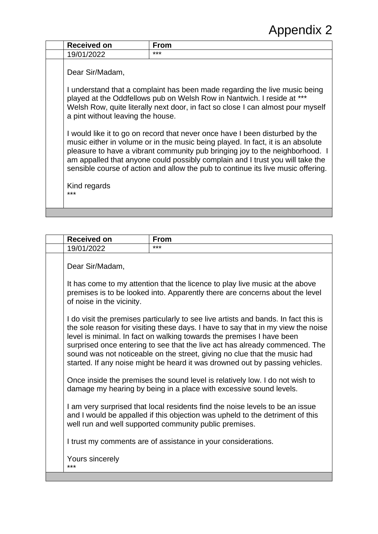| <b>Received on</b>                                                                                                                                                                                                                                                                                                                                                                                                   | From |
|----------------------------------------------------------------------------------------------------------------------------------------------------------------------------------------------------------------------------------------------------------------------------------------------------------------------------------------------------------------------------------------------------------------------|------|
| 19/01/2022                                                                                                                                                                                                                                                                                                                                                                                                           | ***  |
| Dear Sir/Madam,                                                                                                                                                                                                                                                                                                                                                                                                      |      |
| I understand that a complaint has been made regarding the live music being<br>played at the Oddfellows pub on Welsh Row in Nantwich. I reside at ***<br>Welsh Row, quite literally next door, in fact so close I can almost pour myself<br>a pint without leaving the house.                                                                                                                                         |      |
| I would like it to go on record that never once have I been disturbed by the<br>music either in volume or in the music being played. In fact, it is an absolute<br>pleasure to have a vibrant community pub bringing joy to the neighborhood. I<br>am appalled that anyone could possibly complain and I trust you will take the<br>sensible course of action and allow the pub to continue its live music offering. |      |
| Kind regards<br>***                                                                                                                                                                                                                                                                                                                                                                                                  |      |

| <b>Received on</b>                                                                                                                                                                                                                                                                                                                                                                                                                                                                           | <b>From</b>                                                                                                                                                                                                              |
|----------------------------------------------------------------------------------------------------------------------------------------------------------------------------------------------------------------------------------------------------------------------------------------------------------------------------------------------------------------------------------------------------------------------------------------------------------------------------------------------|--------------------------------------------------------------------------------------------------------------------------------------------------------------------------------------------------------------------------|
| 19/01/2022                                                                                                                                                                                                                                                                                                                                                                                                                                                                                   | ***                                                                                                                                                                                                                      |
| Dear Sir/Madam,                                                                                                                                                                                                                                                                                                                                                                                                                                                                              |                                                                                                                                                                                                                          |
| It has come to my attention that the licence to play live music at the above<br>premises is to be looked into. Apparently there are concerns about the level<br>of noise in the vicinity.                                                                                                                                                                                                                                                                                                    |                                                                                                                                                                                                                          |
| I do visit the premises particularly to see live artists and bands. In fact this is<br>the sole reason for visiting these days. I have to say that in my view the noise<br>level is minimal. In fact on walking towards the premises I have been<br>surprised once entering to see that the live act has already commenced. The<br>sound was not noticeable on the street, giving no clue that the music had<br>started. If any noise might be heard it was drowned out by passing vehicles. |                                                                                                                                                                                                                          |
|                                                                                                                                                                                                                                                                                                                                                                                                                                                                                              | Once inside the premises the sound level is relatively low. I do not wish to<br>damage my hearing by being in a place with excessive sound levels.                                                                       |
|                                                                                                                                                                                                                                                                                                                                                                                                                                                                                              | I am very surprised that local residents find the noise levels to be an issue<br>and I would be appalled if this objection was upheld to the detriment of this<br>well run and well supported community public premises. |
|                                                                                                                                                                                                                                                                                                                                                                                                                                                                                              | I trust my comments are of assistance in your considerations.                                                                                                                                                            |
| Yours sincerely<br>***                                                                                                                                                                                                                                                                                                                                                                                                                                                                       |                                                                                                                                                                                                                          |
|                                                                                                                                                                                                                                                                                                                                                                                                                                                                                              |                                                                                                                                                                                                                          |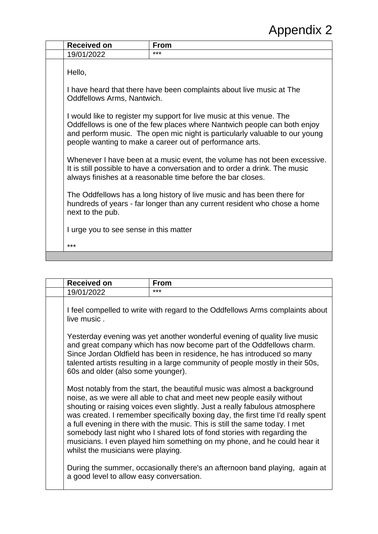| <b>Received on</b>                                                                                                                                                                                                                                                                           | <b>From</b> |
|----------------------------------------------------------------------------------------------------------------------------------------------------------------------------------------------------------------------------------------------------------------------------------------------|-------------|
| 19/01/2022                                                                                                                                                                                                                                                                                   | ***         |
| Hello,                                                                                                                                                                                                                                                                                       |             |
| I have heard that there have been complaints about live music at The<br>Oddfellows Arms, Nantwich.                                                                                                                                                                                           |             |
| I would like to register my support for live music at this venue. The<br>Oddfellows is one of the few places where Nantwich people can both enjoy<br>and perform music. The open mic night is particularly valuable to our young<br>people wanting to make a career out of performance arts. |             |
| Whenever I have been at a music event, the volume has not been excessive.<br>It is still possible to have a conversation and to order a drink. The music<br>always finishes at a reasonable time before the bar closes.                                                                      |             |
| The Oddfellows has a long history of live music and has been there for<br>hundreds of years - far longer than any current resident who chose a home<br>next to the pub.                                                                                                                      |             |
| I urge you to see sense in this matter                                                                                                                                                                                                                                                       |             |
| ***                                                                                                                                                                                                                                                                                          |             |
|                                                                                                                                                                                                                                                                                              |             |

| <b>Received on</b>                       | <b>From</b>                                                                                                                                                                                                                                                                                                                                                                                                                                                                                                                                                 |
|------------------------------------------|-------------------------------------------------------------------------------------------------------------------------------------------------------------------------------------------------------------------------------------------------------------------------------------------------------------------------------------------------------------------------------------------------------------------------------------------------------------------------------------------------------------------------------------------------------------|
| 19/01/2022                               | ***                                                                                                                                                                                                                                                                                                                                                                                                                                                                                                                                                         |
| live music.                              | I feel compelled to write with regard to the Oddfellows Arms complaints about                                                                                                                                                                                                                                                                                                                                                                                                                                                                               |
| 60s and older (also some younger).       | Yesterday evening was yet another wonderful evening of quality live music<br>and great company which has now become part of the Oddfellows charm.<br>Since Jordan Oldfield has been in residence, he has introduced so many<br>talented artists resulting in a large community of people mostly in their 50s,                                                                                                                                                                                                                                               |
| whilst the musicians were playing.       | Most notably from the start, the beautiful music was almost a background<br>noise, as we were all able to chat and meet new people easily without<br>shouting or raising voices even slightly. Just a really fabulous atmosphere<br>was created. I remember specifically boxing day, the first time I'd really spent<br>a full evening in there with the music. This is still the same today. I met<br>somebody last night who I shared lots of fond stories with regarding the<br>musicians. I even played him something on my phone, and he could hear it |
| a good level to allow easy conversation. | During the summer, occasionally there's an afternoon band playing, again at                                                                                                                                                                                                                                                                                                                                                                                                                                                                                 |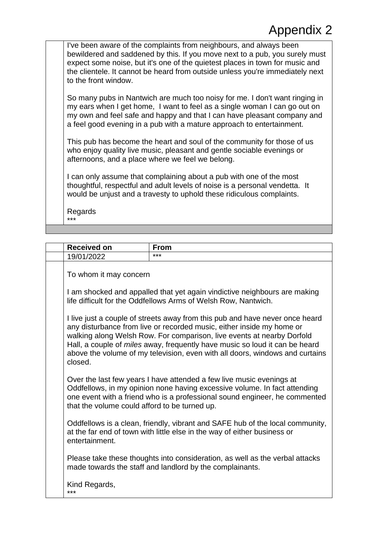I've been aware of the complaints from neighbours, and always been bewildered and saddened by this. If you move next to a pub, you surely must expect some noise, but it's one of the quietest places in town for music and the clientele. It cannot be heard from outside unless you're immediately next to the front window.

So many pubs in Nantwich are much too noisy for me. I don't want ringing in my ears when I get home, I want to feel as a single woman I can go out on my own and feel safe and happy and that I can have pleasant company and a feel good evening in a pub with a mature approach to entertainment.

This pub has become the heart and soul of the community for those of us who enjoy quality live music, pleasant and gentle sociable evenings or afternoons, and a place where we feel we belong.

I can only assume that complaining about a pub with one of the most thoughtful, respectful and adult levels of noise is a personal vendetta. It would be unjust and a travesty to uphold these ridiculous complaints.

Regards \*\*\*

| <b>Received on</b>                                                                                                                                                                                                                                                                                                                                                                                        | From                                                                                                                                                                                                                            |
|-----------------------------------------------------------------------------------------------------------------------------------------------------------------------------------------------------------------------------------------------------------------------------------------------------------------------------------------------------------------------------------------------------------|---------------------------------------------------------------------------------------------------------------------------------------------------------------------------------------------------------------------------------|
| 19/01/2022                                                                                                                                                                                                                                                                                                                                                                                                | ***                                                                                                                                                                                                                             |
| To whom it may concern                                                                                                                                                                                                                                                                                                                                                                                    |                                                                                                                                                                                                                                 |
| I am shocked and appalled that yet again vindictive neighbours are making<br>life difficult for the Oddfellows Arms of Welsh Row, Nantwich.                                                                                                                                                                                                                                                               |                                                                                                                                                                                                                                 |
| I live just a couple of streets away from this pub and have never once heard<br>any disturbance from live or recorded music, either inside my home or<br>walking along Welsh Row. For comparison, live events at nearby Dorfold<br>Hall, a couple of miles away, frequently have music so loud it can be heard<br>above the volume of my television, even with all doors, windows and curtains<br>closed. |                                                                                                                                                                                                                                 |
| that the volume could afford to be turned up.                                                                                                                                                                                                                                                                                                                                                             | Over the last few years I have attended a few live music evenings at<br>Oddfellows, in my opinion none having excessive volume. In fact attending<br>one event with a friend who is a professional sound engineer, he commented |
| entertainment.                                                                                                                                                                                                                                                                                                                                                                                            | Oddfellows is a clean, friendly, vibrant and SAFE hub of the local community,<br>at the far end of town with little else in the way of either business or                                                                       |
|                                                                                                                                                                                                                                                                                                                                                                                                           | Please take these thoughts into consideration, as well as the verbal attacks<br>made towards the staff and landlord by the complainants.                                                                                        |
| Kind Regards,<br>***                                                                                                                                                                                                                                                                                                                                                                                      |                                                                                                                                                                                                                                 |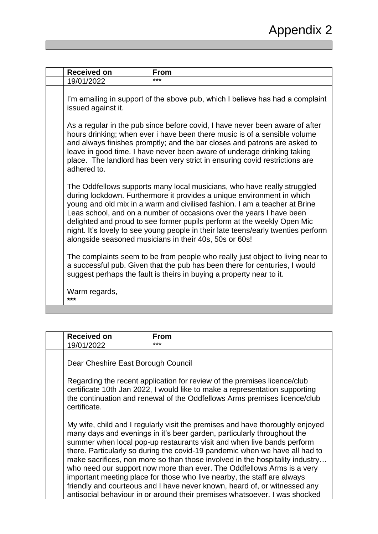| <b>Received on</b> |                                                                                                                                                                                                                                                                                                                                                                                                                                                                                                                                   | <b>From</b>                                                                                                                                                                                                                          |
|--------------------|-----------------------------------------------------------------------------------------------------------------------------------------------------------------------------------------------------------------------------------------------------------------------------------------------------------------------------------------------------------------------------------------------------------------------------------------------------------------------------------------------------------------------------------|--------------------------------------------------------------------------------------------------------------------------------------------------------------------------------------------------------------------------------------|
| 19/01/2022         |                                                                                                                                                                                                                                                                                                                                                                                                                                                                                                                                   | ***                                                                                                                                                                                                                                  |
|                    | I'm emailing in support of the above pub, which I believe has had a complaint<br>issued against it.                                                                                                                                                                                                                                                                                                                                                                                                                               |                                                                                                                                                                                                                                      |
|                    | As a regular in the pub since before covid, I have never been aware of after<br>hours drinking; when ever i have been there music is of a sensible volume<br>and always finishes promptly; and the bar closes and patrons are asked to<br>leave in good time. I have never been aware of underage drinking taking<br>place. The landlord has been very strict in ensuring covid restrictions are<br>adhered to.                                                                                                                   |                                                                                                                                                                                                                                      |
|                    | The Oddfellows supports many local musicians, who have really struggled<br>during lockdown. Furthermore it provides a unique environment in which<br>young and old mix in a warm and civilised fashion. I am a teacher at Brine<br>Leas school, and on a number of occasions over the years I have been<br>delighted and proud to see former pupils perform at the weekly Open Mic<br>night. It's lovely to see young people in their late teens/early twenties perform<br>alongside seasoned musicians in their 40s, 50s or 60s! |                                                                                                                                                                                                                                      |
|                    |                                                                                                                                                                                                                                                                                                                                                                                                                                                                                                                                   | The complaints seem to be from people who really just object to living near to<br>a successful pub. Given that the pub has been there for centuries, I would<br>suggest perhaps the fault is theirs in buying a property near to it. |
| ***                | Warm regards,                                                                                                                                                                                                                                                                                                                                                                                                                                                                                                                     |                                                                                                                                                                                                                                      |
|                    |                                                                                                                                                                                                                                                                                                                                                                                                                                                                                                                                   |                                                                                                                                                                                                                                      |

| <b>Received on</b>                                                                                                                                                                                                                                   | <b>From</b>                                                                                                                                                                                                                                                                                                                                                                                                                                                                                                                                                                                                                                                                                                       |
|------------------------------------------------------------------------------------------------------------------------------------------------------------------------------------------------------------------------------------------------------|-------------------------------------------------------------------------------------------------------------------------------------------------------------------------------------------------------------------------------------------------------------------------------------------------------------------------------------------------------------------------------------------------------------------------------------------------------------------------------------------------------------------------------------------------------------------------------------------------------------------------------------------------------------------------------------------------------------------|
| 19/01/2022                                                                                                                                                                                                                                           | ***                                                                                                                                                                                                                                                                                                                                                                                                                                                                                                                                                                                                                                                                                                               |
| Dear Cheshire East Borough Council                                                                                                                                                                                                                   |                                                                                                                                                                                                                                                                                                                                                                                                                                                                                                                                                                                                                                                                                                                   |
| Regarding the recent application for review of the premises licence/club<br>certificate 10th Jan 2022, I would like to make a representation supporting<br>the continuation and renewal of the Oddfellows Arms premises licence/club<br>certificate. |                                                                                                                                                                                                                                                                                                                                                                                                                                                                                                                                                                                                                                                                                                                   |
|                                                                                                                                                                                                                                                      | My wife, child and I regularly visit the premises and have thoroughly enjoyed<br>many days and evenings in it's beer garden, particularly throughout the<br>summer when local pop-up restaurants visit and when live bands perform<br>there. Particularly so during the covid-19 pandemic when we have all had to<br>make sacrifices, non more so than those involved in the hospitality industry<br>who need our support now more than ever. The Oddfellows Arms is a very<br>important meeting place for those who live nearby, the staff are always<br>friendly and courteous and I have never known, heard of, or witnessed any<br>antisocial behaviour in or around their premises whatsoever. I was shocked |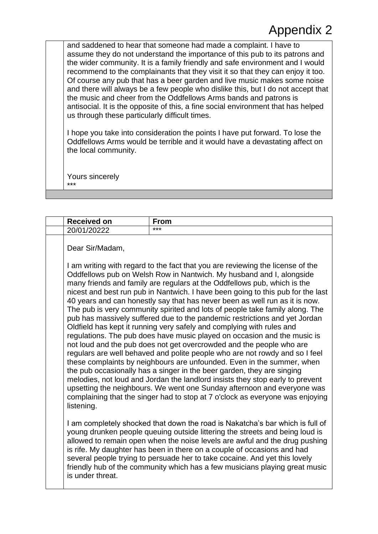and saddened to hear that someone had made a complaint. I have to assume they do not understand the importance of this pub to its patrons and the wider community. It is a family friendly and safe environment and I would recommend to the complainants that they visit it so that they can enjoy it too. Of course any pub that has a beer garden and live music makes some noise and there will always be a few people who dislike this, but I do not accept that the music and cheer from the Oddfellows Arms bands and patrons is antisocial. It is the opposite of this, a fine social environment that has helped us through these particularly difficult times.

I hope you take into consideration the points I have put forward. To lose the Oddfellows Arms would be terrible and it would have a devastating affect on the local community.

Yours sincerely \*\*\*

| <b>Received on</b>                                                                                                                                                                                                                                                                                                                                                                                                                                                                                                                                                                                                                                                                                                                                                                                                                                                                                                                                                                                                                                                                                                                  | <b>From</b>                                                                                                                                                                                                                                                                                                                                                                                                                                                                          |
|-------------------------------------------------------------------------------------------------------------------------------------------------------------------------------------------------------------------------------------------------------------------------------------------------------------------------------------------------------------------------------------------------------------------------------------------------------------------------------------------------------------------------------------------------------------------------------------------------------------------------------------------------------------------------------------------------------------------------------------------------------------------------------------------------------------------------------------------------------------------------------------------------------------------------------------------------------------------------------------------------------------------------------------------------------------------------------------------------------------------------------------|--------------------------------------------------------------------------------------------------------------------------------------------------------------------------------------------------------------------------------------------------------------------------------------------------------------------------------------------------------------------------------------------------------------------------------------------------------------------------------------|
| 20/01/20222                                                                                                                                                                                                                                                                                                                                                                                                                                                                                                                                                                                                                                                                                                                                                                                                                                                                                                                                                                                                                                                                                                                         | ***                                                                                                                                                                                                                                                                                                                                                                                                                                                                                  |
| Dear Sir/Madam,                                                                                                                                                                                                                                                                                                                                                                                                                                                                                                                                                                                                                                                                                                                                                                                                                                                                                                                                                                                                                                                                                                                     | I am writing with regard to the fact that you are reviewing the license of the<br>Oddfellows pub on Welsh Row in Nantwich. My husband and I, alongside                                                                                                                                                                                                                                                                                                                               |
| many friends and family are regulars at the Oddfellows pub, which is the<br>nicest and best run pub in Nantwich. I have been going to this pub for the last<br>40 years and can honestly say that has never been as well run as it is now.<br>The pub is very community spirited and lots of people take family along. The<br>pub has massively suffered due to the pandemic restrictions and yet Jordan<br>Oldfield has kept it running very safely and complying with rules and<br>regulations. The pub does have music played on occasion and the music is<br>not loud and the pub does not get overcrowded and the people who are<br>regulars are well behaved and polite people who are not rowdy and so I feel<br>these complaints by neighbours are unfounded. Even in the summer, when<br>the pub occasionally has a singer in the beer garden, they are singing<br>melodies, not loud and Jordan the landlord insists they stop early to prevent<br>upsetting the neighbours. We went one Sunday afternoon and everyone was<br>complaining that the singer had to stop at 7 o'clock as everyone was enjoying<br>listening. |                                                                                                                                                                                                                                                                                                                                                                                                                                                                                      |
| is under threat.                                                                                                                                                                                                                                                                                                                                                                                                                                                                                                                                                                                                                                                                                                                                                                                                                                                                                                                                                                                                                                                                                                                    | I am completely shocked that down the road is Nakatcha's bar which is full of<br>young drunken people queuing outside littering the streets and being loud is<br>allowed to remain open when the noise levels are awful and the drug pushing<br>is rife. My daughter has been in there on a couple of occasions and had<br>several people trying to persuade her to take cocaine. And yet this lovely<br>friendly hub of the community which has a few musicians playing great music |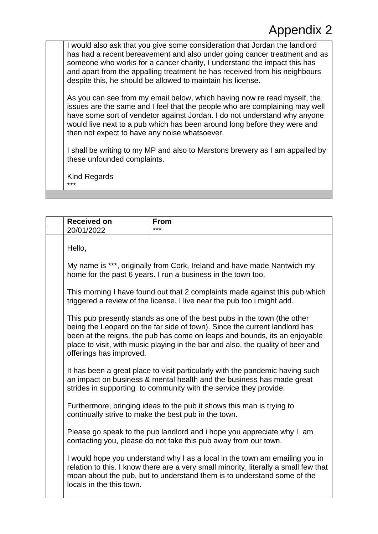I would also ask that you give some consideration that Jordan the landlord has had a recent bereavement and also under going cancer treatment and as someone who works for a cancer charity, I understand the impact this has and apart from the appalling treatment he has received from his neighbours despite this, he should be allowed to maintain his license.

As you can see from my email below, which having now re read myself, the issues are the same and I feel that the people who are complaining may well have some sort of vendetor against Jordan. I do not understand why anyone would live next to a pub which has been around long before they were and then not expect to have any noise whatsoever.

I shall be writing to my MP and also to Marstons brewery as I am appalled by these unfounded complaints.

Kind Regards \*\*\*

| <b>Received on</b>                                                                                                                                                                                                                                                                                                                                 | <b>From</b>                                                                                                                                                                                                                                    |
|----------------------------------------------------------------------------------------------------------------------------------------------------------------------------------------------------------------------------------------------------------------------------------------------------------------------------------------------------|------------------------------------------------------------------------------------------------------------------------------------------------------------------------------------------------------------------------------------------------|
| 20/01/2022                                                                                                                                                                                                                                                                                                                                         | ***                                                                                                                                                                                                                                            |
| Hello,                                                                                                                                                                                                                                                                                                                                             |                                                                                                                                                                                                                                                |
|                                                                                                                                                                                                                                                                                                                                                    | My name is ***, originally from Cork, Ireland and have made Nantwich my<br>home for the past 6 years. I run a business in the town too.                                                                                                        |
| This morning I have found out that 2 complaints made against this pub which<br>triggered a review of the license. I live near the pub too i might add.                                                                                                                                                                                             |                                                                                                                                                                                                                                                |
| This pub presently stands as one of the best pubs in the town (the other<br>being the Leopard on the far side of town). Since the current landlord has<br>been at the reigns, the pub has come on leaps and bounds, its an enjoyable<br>place to visit, with music playing in the bar and also, the quality of beer and<br>offerings has improved. |                                                                                                                                                                                                                                                |
|                                                                                                                                                                                                                                                                                                                                                    | It has been a great place to visit particularly with the pandemic having such<br>an impact on business & mental health and the business has made great<br>strides in supporting to community with the service they provide.                    |
|                                                                                                                                                                                                                                                                                                                                                    | Furthermore, bringing ideas to the pub it shows this man is trying to<br>continually strive to make the best pub in the town.                                                                                                                  |
|                                                                                                                                                                                                                                                                                                                                                    | Please go speak to the pub landlord and i hope you appreciate why I am<br>contacting you, please do not take this pub away from our town.                                                                                                      |
| locals in the this town.                                                                                                                                                                                                                                                                                                                           | I would hope you understand why I as a local in the town am emailing you in<br>relation to this. I know there are a very small minority, literally a small few that<br>moan about the pub, but to understand them is to understand some of the |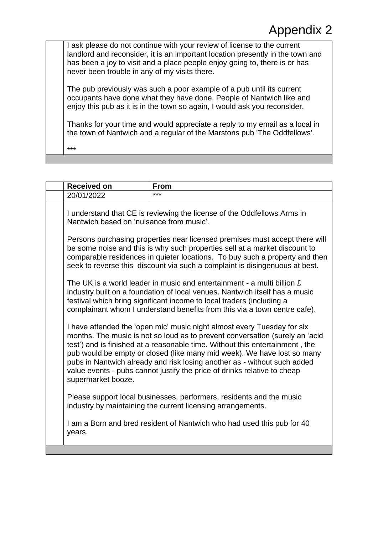I ask please do not continue with your review of license to the current landlord and reconsider, it is an important location presently in the town and has been a joy to visit and a place people enjoy going to, there is or has never been trouble in any of my visits there.

The pub previously was such a poor example of a pub until its current occupants have done what they have done. People of Nantwich like and enjoy this pub as it is in the town so again, I would ask you reconsider.

Thanks for your time and would appreciate a reply to my email as a local in the town of Nantwich and a regular of the Marstons pub 'The Oddfellows'.

\*\*\*

| <b>Received on</b>                                                                                                  | From                                                                                                                                                                                                                                                                                                                                                                                                                                                                       |
|---------------------------------------------------------------------------------------------------------------------|----------------------------------------------------------------------------------------------------------------------------------------------------------------------------------------------------------------------------------------------------------------------------------------------------------------------------------------------------------------------------------------------------------------------------------------------------------------------------|
| 20/01/2022                                                                                                          | ***                                                                                                                                                                                                                                                                                                                                                                                                                                                                        |
| I understand that CE is reviewing the license of the Oddfellows Arms in<br>Nantwich based on 'nuisance from music'. |                                                                                                                                                                                                                                                                                                                                                                                                                                                                            |
|                                                                                                                     | Persons purchasing properties near licensed premises must accept there will<br>be some noise and this is why such properties sell at a market discount to<br>comparable residences in quieter locations. To buy such a property and then<br>seek to reverse this discount via such a complaint is disingenuous at best.                                                                                                                                                    |
|                                                                                                                     | The UK is a world leader in music and entertainment - a multi billion $E$<br>industry built on a foundation of local venues. Nantwich itself has a music<br>festival which bring significant income to local traders (including a<br>complainant whom I understand benefits from this via a town centre cafe).                                                                                                                                                             |
| supermarket booze.                                                                                                  | I have attended the 'open mic' music night almost every Tuesday for six<br>months. The music is not so loud as to prevent conversation (surely an 'acid<br>test') and is finished at a reasonable time. Without this entertainment, the<br>pub would be empty or closed (like many mid week). We have lost so many<br>pubs in Nantwich already and risk losing another as - without such added<br>value events - pubs cannot justify the price of drinks relative to cheap |
|                                                                                                                     | Please support local businesses, performers, residents and the music<br>industry by maintaining the current licensing arrangements.                                                                                                                                                                                                                                                                                                                                        |
| years.                                                                                                              | I am a Born and bred resident of Nantwich who had used this pub for 40                                                                                                                                                                                                                                                                                                                                                                                                     |
|                                                                                                                     |                                                                                                                                                                                                                                                                                                                                                                                                                                                                            |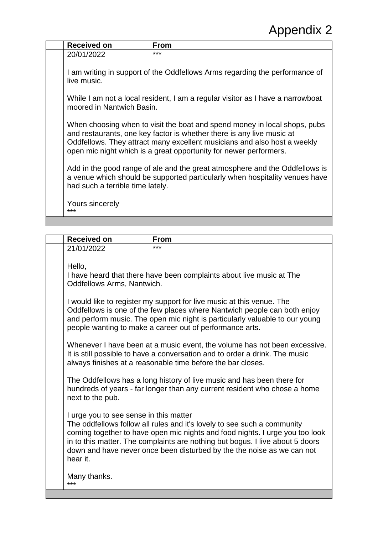| <b>Received on</b>                                                                                                                                                                                                                                                                                  | <b>From</b> |
|-----------------------------------------------------------------------------------------------------------------------------------------------------------------------------------------------------------------------------------------------------------------------------------------------------|-------------|
| 20/01/2022                                                                                                                                                                                                                                                                                          | ***         |
| I am writing in support of the Oddfellows Arms regarding the performance of<br>live music.                                                                                                                                                                                                          |             |
| While I am not a local resident, I am a regular visitor as I have a narrowboat<br>moored in Nantwich Basin.                                                                                                                                                                                         |             |
| When choosing when to visit the boat and spend money in local shops, pubs<br>and restaurants, one key factor is whether there is any live music at<br>Oddfellows. They attract many excellent musicians and also host a weekly<br>open mic night which is a great opportunity for newer performers. |             |
| Add in the good range of ale and the great atmosphere and the Oddfellows is<br>a venue which should be supported particularly when hospitality venues have<br>had such a terrible time lately.                                                                                                      |             |
| Yours sincerely<br>***                                                                                                                                                                                                                                                                              |             |
|                                                                                                                                                                                                                                                                                                     |             |

| <b>Received on</b>                                 | <b>From</b>                                                                                                                                                                                                                                                                                                        |
|----------------------------------------------------|--------------------------------------------------------------------------------------------------------------------------------------------------------------------------------------------------------------------------------------------------------------------------------------------------------------------|
| 21/01/2022                                         | ***                                                                                                                                                                                                                                                                                                                |
| Hello,<br>Oddfellows Arms, Nantwich.               | I have heard that there have been complaints about live music at The                                                                                                                                                                                                                                               |
|                                                    | I would like to register my support for live music at this venue. The<br>Oddfellows is one of the few places where Nantwich people can both enjoy<br>and perform music. The open mic night is particularly valuable to our young<br>people wanting to make a career out of performance arts.                       |
|                                                    | Whenever I have been at a music event, the volume has not been excessive.<br>It is still possible to have a conversation and to order a drink. The music<br>always finishes at a reasonable time before the bar closes.                                                                                            |
| next to the pub.                                   | The Oddfellows has a long history of live music and has been there for<br>hundreds of years - far longer than any current resident who chose a home                                                                                                                                                                |
| I urge you to see sense in this matter<br>hear it. | The oddfellows follow all rules and it's lovely to see such a community<br>coming together to have open mic nights and food nights. I urge you too look<br>in to this matter. The complaints are nothing but bogus. I live about 5 doors<br>down and have never once been disturbed by the the noise as we can not |
| Many thanks.<br>***                                |                                                                                                                                                                                                                                                                                                                    |
|                                                    |                                                                                                                                                                                                                                                                                                                    |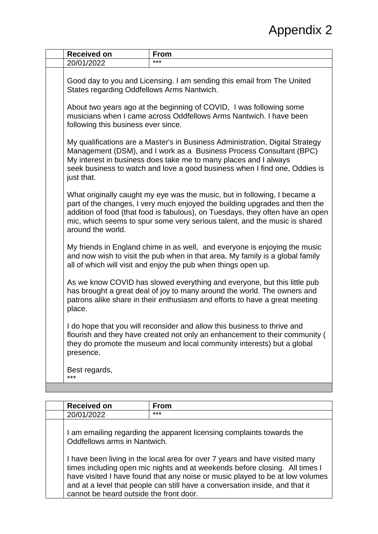| ***<br>20/01/2022<br>Good day to you and Licensing. I am sending this email from The United<br>States regarding Oddfellows Arms Nantwich.<br>About two years ago at the beginning of COVID, I was following some<br>musicians when I came across Oddfellows Arms Nantwich. I have been<br>following this business ever since.<br>My qualifications are a Master's in Business Administration, Digital Strategy<br>Management (DSM), and I work as a Business Process Consultant (BPC)<br>My interest in business does take me to many places and I always<br>seek business to watch and love a good business when I find one, Oddies is<br>just that.<br>What originally caught my eye was the music, but in following, I became a<br>part of the changes, I very much enjoyed the building upgrades and then the<br>addition of food (that food is fabulous), on Tuesdays, they often have an open<br>mic, which seems to spur some very serious talent, and the music is shared<br>around the world.<br>My friends in England chime in as well, and everyone is enjoying the music<br>and now wish to visit the pub when in that area. My family is a global family<br>all of which will visit and enjoy the pub when things open up.<br>As we know COVID has slowed everything and everyone, but this little pub<br>has brought a great deal of joy to many around the world. The owners and<br>patrons alike share in their enthusiasm and efforts to have a great meeting<br>place.<br>I do hope that you will reconsider and allow this business to thrive and<br>flourish and they have created not only an enhancement to their community (<br>they do promote the museum and local community interests) but a global<br>presence.<br>Best regards,<br>*** | <b>Received on</b> | <b>From</b> |
|--------------------------------------------------------------------------------------------------------------------------------------------------------------------------------------------------------------------------------------------------------------------------------------------------------------------------------------------------------------------------------------------------------------------------------------------------------------------------------------------------------------------------------------------------------------------------------------------------------------------------------------------------------------------------------------------------------------------------------------------------------------------------------------------------------------------------------------------------------------------------------------------------------------------------------------------------------------------------------------------------------------------------------------------------------------------------------------------------------------------------------------------------------------------------------------------------------------------------------------------------------------------------------------------------------------------------------------------------------------------------------------------------------------------------------------------------------------------------------------------------------------------------------------------------------------------------------------------------------------------------------------------------------------------------------------------------------------------------------------------------------------------|--------------------|-------------|
|                                                                                                                                                                                                                                                                                                                                                                                                                                                                                                                                                                                                                                                                                                                                                                                                                                                                                                                                                                                                                                                                                                                                                                                                                                                                                                                                                                                                                                                                                                                                                                                                                                                                                                                                                                    |                    |             |
|                                                                                                                                                                                                                                                                                                                                                                                                                                                                                                                                                                                                                                                                                                                                                                                                                                                                                                                                                                                                                                                                                                                                                                                                                                                                                                                                                                                                                                                                                                                                                                                                                                                                                                                                                                    |                    |             |
|                                                                                                                                                                                                                                                                                                                                                                                                                                                                                                                                                                                                                                                                                                                                                                                                                                                                                                                                                                                                                                                                                                                                                                                                                                                                                                                                                                                                                                                                                                                                                                                                                                                                                                                                                                    |                    |             |
|                                                                                                                                                                                                                                                                                                                                                                                                                                                                                                                                                                                                                                                                                                                                                                                                                                                                                                                                                                                                                                                                                                                                                                                                                                                                                                                                                                                                                                                                                                                                                                                                                                                                                                                                                                    |                    |             |
|                                                                                                                                                                                                                                                                                                                                                                                                                                                                                                                                                                                                                                                                                                                                                                                                                                                                                                                                                                                                                                                                                                                                                                                                                                                                                                                                                                                                                                                                                                                                                                                                                                                                                                                                                                    |                    |             |
|                                                                                                                                                                                                                                                                                                                                                                                                                                                                                                                                                                                                                                                                                                                                                                                                                                                                                                                                                                                                                                                                                                                                                                                                                                                                                                                                                                                                                                                                                                                                                                                                                                                                                                                                                                    |                    |             |
|                                                                                                                                                                                                                                                                                                                                                                                                                                                                                                                                                                                                                                                                                                                                                                                                                                                                                                                                                                                                                                                                                                                                                                                                                                                                                                                                                                                                                                                                                                                                                                                                                                                                                                                                                                    |                    |             |
|                                                                                                                                                                                                                                                                                                                                                                                                                                                                                                                                                                                                                                                                                                                                                                                                                                                                                                                                                                                                                                                                                                                                                                                                                                                                                                                                                                                                                                                                                                                                                                                                                                                                                                                                                                    |                    |             |
|                                                                                                                                                                                                                                                                                                                                                                                                                                                                                                                                                                                                                                                                                                                                                                                                                                                                                                                                                                                                                                                                                                                                                                                                                                                                                                                                                                                                                                                                                                                                                                                                                                                                                                                                                                    |                    |             |
|                                                                                                                                                                                                                                                                                                                                                                                                                                                                                                                                                                                                                                                                                                                                                                                                                                                                                                                                                                                                                                                                                                                                                                                                                                                                                                                                                                                                                                                                                                                                                                                                                                                                                                                                                                    |                    |             |
| <b>Received on</b><br><b>From</b>                                                                                                                                                                                                                                                                                                                                                                                                                                                                                                                                                                                                                                                                                                                                                                                                                                                                                                                                                                                                                                                                                                                                                                                                                                                                                                                                                                                                                                                                                                                                                                                                                                                                                                                                  |                    |             |

| Received on                             | From                                                                                                                                                                                                                                                                                                                        |
|-----------------------------------------|-----------------------------------------------------------------------------------------------------------------------------------------------------------------------------------------------------------------------------------------------------------------------------------------------------------------------------|
| 20/01/2022                              | ***                                                                                                                                                                                                                                                                                                                         |
| Oddfellows arms in Nantwich.            | I am emailing regarding the apparent licensing complaints towards the                                                                                                                                                                                                                                                       |
| cannot be heard outside the front door. | I have been living in the local area for over 7 years and have visited many<br>times including open mic nights and at weekends before closing. All times I<br>have visited I have found that any noise or music played to be at low volumes<br>and at a level that people can still have a conversation inside, and that it |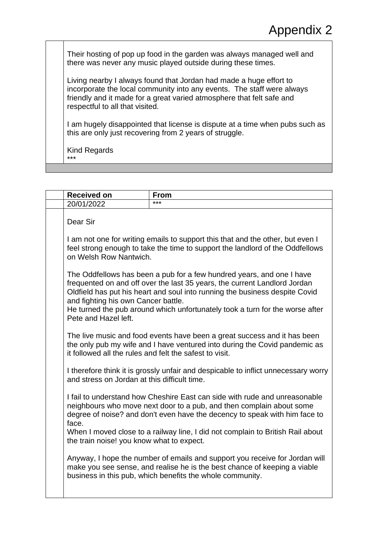Their hosting of pop up food in the garden was always managed well and there was never any music played outside during these times.

Living nearby I always found that Jordan had made a huge effort to incorporate the local community into any events. The staff were always friendly and it made for a great varied atmosphere that felt safe and respectful to all that visited.

I am hugely disappointed that license is dispute at a time when pubs such as this are only just recovering from 2 years of struggle.

Kind Regards \*\*\*

| <b>Received on</b>                                      | <b>From</b>                                                                                                                                                                                                                                                                                                       |
|---------------------------------------------------------|-------------------------------------------------------------------------------------------------------------------------------------------------------------------------------------------------------------------------------------------------------------------------------------------------------------------|
| 20/01/2022                                              | $***$                                                                                                                                                                                                                                                                                                             |
| Dear Sir                                                |                                                                                                                                                                                                                                                                                                                   |
| on Welsh Row Nantwich.                                  | I am not one for writing emails to support this that and the other, but even I<br>feel strong enough to take the time to support the landlord of the Oddfellows                                                                                                                                                   |
| and fighting his own Cancer battle.                     | The Oddfellows has been a pub for a few hundred years, and one I have<br>frequented on and off over the last 35 years, the current Landlord Jordan<br>Oldfield has put his heart and soul into running the business despite Covid<br>He turned the pub around which unfortunately took a turn for the worse after |
| Pete and Hazel left.                                    | The live music and food events have been a great success and it has been                                                                                                                                                                                                                                          |
| it followed all the rules and felt the safest to visit. | the only pub my wife and I have ventured into during the Covid pandemic as                                                                                                                                                                                                                                        |
| and stress on Jordan at this difficult time.            | I therefore think it is grossly unfair and despicable to inflict unnecessary worry                                                                                                                                                                                                                                |
| face.                                                   | I fail to understand how Cheshire East can side with rude and unreasonable<br>neighbours who move next door to a pub, and then complain about some<br>degree of noise? and don't even have the decency to speak with him face to                                                                                  |
| the train noise! you know what to expect.               | When I moved close to a railway line, I did not complain to British Rail about                                                                                                                                                                                                                                    |
|                                                         | Anyway, I hope the number of emails and support you receive for Jordan will<br>make you see sense, and realise he is the best chance of keeping a viable<br>business in this pub, which benefits the whole community.                                                                                             |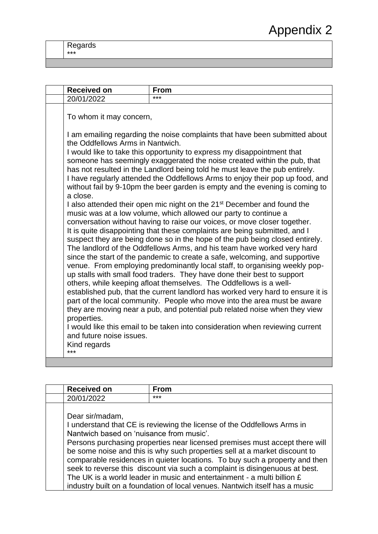Regards \*\*\*

| <b>Received on</b>                                          | <b>From</b>                                                                                                                                                                                                                                                                                                                                                                                                                                                                                                                                                  |
|-------------------------------------------------------------|--------------------------------------------------------------------------------------------------------------------------------------------------------------------------------------------------------------------------------------------------------------------------------------------------------------------------------------------------------------------------------------------------------------------------------------------------------------------------------------------------------------------------------------------------------------|
| 20/01/2022                                                  | ***                                                                                                                                                                                                                                                                                                                                                                                                                                                                                                                                                          |
| Dear sir/madam,<br>Nantwich based on 'nuisance from music'. | I understand that CE is reviewing the license of the Oddfellows Arms in<br>Persons purchasing properties near licensed premises must accept there will<br>be some noise and this is why such properties sell at a market discount to<br>comparable residences in quieter locations. To buy such a property and then<br>seek to reverse this discount via such a complaint is disingenuous at best.<br>The UK is a world leader in music and entertainment - a multi billion £<br>industry built on a foundation of local venues. Nantwich itself has a music |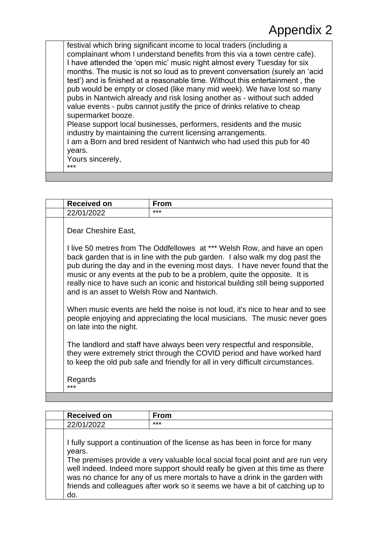festival which bring significant income to local traders (including a complainant whom I understand benefits from this via a town centre cafe). I have attended the 'open mic' music night almost every Tuesday for six months. The music is not so loud as to prevent conversation (surely an 'acid test') and is finished at a reasonable time. Without this entertainment , the pub would be empty or closed (like many mid week). We have lost so many pubs in Nantwich already and risk losing another as - without such added value events - pubs cannot justify the price of drinks relative to cheap supermarket booze. Please support local businesses, performers, residents and the music industry by maintaining the current licensing arrangements. I am a Born and bred resident of Nantwich who had used this pub for 40

years.

Yours sincerely, \*\*\*

| <b>Received on</b>                         | <b>From</b>                                                                                                                                                                                                                                                                                                                                                                                               |
|--------------------------------------------|-----------------------------------------------------------------------------------------------------------------------------------------------------------------------------------------------------------------------------------------------------------------------------------------------------------------------------------------------------------------------------------------------------------|
| 22/01/2022                                 | ***                                                                                                                                                                                                                                                                                                                                                                                                       |
| Dear Cheshire East,                        |                                                                                                                                                                                                                                                                                                                                                                                                           |
| and is an asset to Welsh Row and Nantwich. | I live 50 metres from The Oddfellowes at *** Welsh Row, and have an open<br>back garden that is in line with the pub garden. I also walk my dog past the<br>pub during the day and in the evening most days. I have never found that the<br>music or any events at the pub to be a problem, quite the opposite. It is<br>really nice to have such an iconic and historical building still being supported |
| on late into the night.                    | When music events are held the noise is not loud, it's nice to hear and to see<br>people enjoying and appreciating the local musicians. The music never goes                                                                                                                                                                                                                                              |
|                                            | The landlord and staff have always been very respectful and responsible,<br>they were extremely strict through the COVID period and have worked hard<br>to keep the old pub safe and friendly for all in very difficult circumstances.                                                                                                                                                                    |
| Regards<br>***                             |                                                                                                                                                                                                                                                                                                                                                                                                           |

| <b>Received on</b> | <b>From</b>                                                                                                                                                                                                                                                                                                                                                                                                    |
|--------------------|----------------------------------------------------------------------------------------------------------------------------------------------------------------------------------------------------------------------------------------------------------------------------------------------------------------------------------------------------------------------------------------------------------------|
| 22/01/2022         | ***                                                                                                                                                                                                                                                                                                                                                                                                            |
| years.<br>do       | I fully support a continuation of the license as has been in force for many<br>The premises provide a very valuable local social focal point and are run very<br>well indeed. Indeed more support should really be given at this time as there<br>was no chance for any of us mere mortals to have a drink in the garden with<br>friends and colleagues after work so it seems we have a bit of catching up to |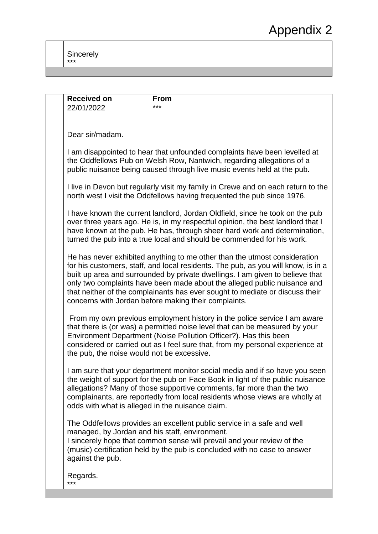| <b>Received on</b>                                                 | <b>From</b>                                                                                                                                                                                                                                                                                                                                                                                                                                                         |
|--------------------------------------------------------------------|---------------------------------------------------------------------------------------------------------------------------------------------------------------------------------------------------------------------------------------------------------------------------------------------------------------------------------------------------------------------------------------------------------------------------------------------------------------------|
| 22/01/2022                                                         | ***                                                                                                                                                                                                                                                                                                                                                                                                                                                                 |
| Dear sir/madam.                                                    |                                                                                                                                                                                                                                                                                                                                                                                                                                                                     |
|                                                                    | I am disappointed to hear that unfounded complaints have been levelled at<br>the Oddfellows Pub on Welsh Row, Nantwich, regarding allegations of a<br>public nuisance being caused through live music events held at the pub.                                                                                                                                                                                                                                       |
|                                                                    | I live in Devon but regularly visit my family in Crewe and on each return to the<br>north west I visit the Oddfellows having frequented the pub since 1976.                                                                                                                                                                                                                                                                                                         |
|                                                                    | I have known the current landlord, Jordan Oldfield, since he took on the pub<br>over three years ago. He is, in my respectful opinion, the best landlord that I<br>have known at the pub. He has, through sheer hard work and determination,<br>turned the pub into a true local and should be commended for his work.                                                                                                                                              |
|                                                                    | He has never exhibited anything to me other than the utmost consideration<br>for his customers, staff, and local residents. The pub, as you will know, is in a<br>built up area and surrounded by private dwellings. I am given to believe that<br>only two complaints have been made about the alleged public nuisance and<br>that neither of the complainants has ever sought to mediate or discuss their<br>concerns with Jordan before making their complaints. |
| the pub, the noise would not be excessive.                         | From my own previous employment history in the police service I am aware<br>that there is (or was) a permitted noise level that can be measured by your<br>Environment Department (Noise Pollution Officer?). Has this been<br>considered or carried out as I feel sure that, from my personal experience at                                                                                                                                                        |
| odds with what is alleged in the nuisance claim.                   | I am sure that your department monitor social media and if so have you seen<br>the weight of support for the pub on Face Book in light of the public nuisance<br>allegations? Many of those supportive comments, far more than the two<br>complainants, are reportedly from local residents whose views are wholly at                                                                                                                                               |
| managed, by Jordan and his staff, environment.<br>against the pub. | The Oddfellows provides an excellent public service in a safe and well<br>I sincerely hope that common sense will prevail and your review of the<br>(music) certification held by the pub is concluded with no case to answer                                                                                                                                                                                                                                       |
| Regards.<br>***                                                    |                                                                                                                                                                                                                                                                                                                                                                                                                                                                     |
|                                                                    |                                                                                                                                                                                                                                                                                                                                                                                                                                                                     |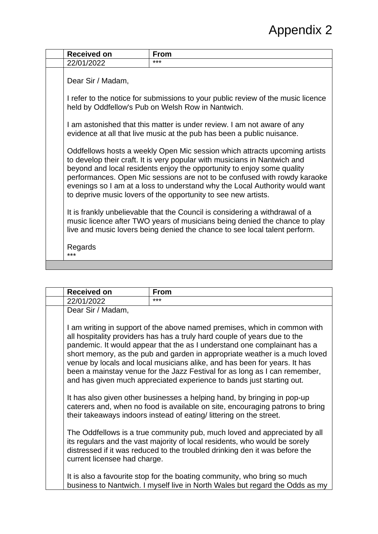| <b>Received on</b> | <b>From</b>                                                                                                                                                                                                                                                                                                                                                                                                                                                     |
|--------------------|-----------------------------------------------------------------------------------------------------------------------------------------------------------------------------------------------------------------------------------------------------------------------------------------------------------------------------------------------------------------------------------------------------------------------------------------------------------------|
| 22/01/2022         | ***                                                                                                                                                                                                                                                                                                                                                                                                                                                             |
| Dear Sir / Madam,  | I refer to the notice for submissions to your public review of the music licence<br>held by Oddfellow's Pub on Welsh Row in Nantwich.                                                                                                                                                                                                                                                                                                                           |
|                    | I am astonished that this matter is under review. I am not aware of any<br>evidence at all that live music at the pub has been a public nuisance.                                                                                                                                                                                                                                                                                                               |
|                    | Oddfellows hosts a weekly Open Mic session which attracts upcoming artists<br>to develop their craft. It is very popular with musicians in Nantwich and<br>beyond and local residents enjoy the opportunity to enjoy some quality<br>performances. Open Mic sessions are not to be confused with rowdy karaoke<br>evenings so I am at a loss to understand why the Local Authority would want<br>to deprive music lovers of the opportunity to see new artists. |
|                    | It is frankly unbelievable that the Council is considering a withdrawal of a<br>music licence after TWO years of musicians being denied the chance to play<br>live and music lovers being denied the chance to see local talent perform.                                                                                                                                                                                                                        |
| Regards<br>***     |                                                                                                                                                                                                                                                                                                                                                                                                                                                                 |
|                    |                                                                                                                                                                                                                                                                                                                                                                                                                                                                 |

| <b>Received on</b>           | <b>From</b>                                                                                                                                                                                                                                                                                                                                                                                                                                                                                                                                          |
|------------------------------|------------------------------------------------------------------------------------------------------------------------------------------------------------------------------------------------------------------------------------------------------------------------------------------------------------------------------------------------------------------------------------------------------------------------------------------------------------------------------------------------------------------------------------------------------|
| 22/01/2022                   | ***                                                                                                                                                                                                                                                                                                                                                                                                                                                                                                                                                  |
| Dear Sir / Madam,            |                                                                                                                                                                                                                                                                                                                                                                                                                                                                                                                                                      |
|                              | I am writing in support of the above named premises, which in common with<br>all hospitality providers has has a truly hard couple of years due to the<br>pandemic. It would appear that the as I understand one complainant has a<br>short memory, as the pub and garden in appropriate weather is a much loved<br>venue by locals and local musicians alike, and has been for years. It has<br>been a mainstay venue for the Jazz Festival for as long as I can remember,<br>and has given much appreciated experience to bands just starting out. |
|                              | It has also given other businesses a helping hand, by bringing in pop-up<br>caterers and, when no food is available on site, encouraging patrons to bring<br>their takeaways indoors instead of eating/littering on the street.                                                                                                                                                                                                                                                                                                                      |
| current licensee had charge. | The Oddfellows is a true community pub, much loved and appreciated by all<br>its regulars and the vast majority of local residents, who would be sorely<br>distressed if it was reduced to the troubled drinking den it was before the                                                                                                                                                                                                                                                                                                               |
|                              | It is also a favourite stop for the boating community, who bring so much<br>business to Nantwich. I myself live in North Wales but regard the Odds as my                                                                                                                                                                                                                                                                                                                                                                                             |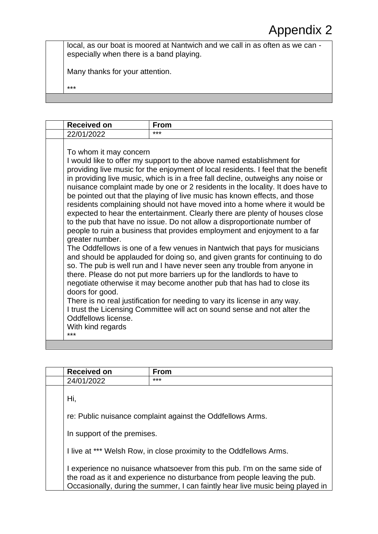local, as our boat is moored at Nantwich and we call in as often as we can especially when there is a band playing.

Many thanks for your attention.

\*\*\*

| <b>Received on</b>                                                                                              | <b>From</b>                                                                                                                                                                                                                                                                                                                                                                                                                                                                                                                                                                                                                                                                                                                                                                                                                                                                                                                                                                                                                                                                                                                                                                                                                                                                                   |
|-----------------------------------------------------------------------------------------------------------------|-----------------------------------------------------------------------------------------------------------------------------------------------------------------------------------------------------------------------------------------------------------------------------------------------------------------------------------------------------------------------------------------------------------------------------------------------------------------------------------------------------------------------------------------------------------------------------------------------------------------------------------------------------------------------------------------------------------------------------------------------------------------------------------------------------------------------------------------------------------------------------------------------------------------------------------------------------------------------------------------------------------------------------------------------------------------------------------------------------------------------------------------------------------------------------------------------------------------------------------------------------------------------------------------------|
| 22/01/2022                                                                                                      | ***                                                                                                                                                                                                                                                                                                                                                                                                                                                                                                                                                                                                                                                                                                                                                                                                                                                                                                                                                                                                                                                                                                                                                                                                                                                                                           |
| To whom it may concern<br>greater number.<br>doors for good.<br>Oddfellows license.<br>With kind regards<br>*** | I would like to offer my support to the above named establishment for<br>providing live music for the enjoyment of local residents. I feel that the benefit<br>in providing live music, which is in a free fall decline, outweighs any noise or<br>nuisance complaint made by one or 2 residents in the locality. It does have to<br>be pointed out that the playing of live music has known effects, and those<br>residents complaining should not have moved into a home where it would be<br>expected to hear the entertainment. Clearly there are plenty of houses close<br>to the pub that have no issue. Do not allow a disproportionate number of<br>people to ruin a business that provides employment and enjoyment to a far<br>The Oddfellows is one of a few venues in Nantwich that pays for musicians<br>and should be applauded for doing so, and given grants for continuing to do<br>so. The pub is well run and I have never seen any trouble from anyone in<br>there. Please do not put more barriers up for the landlords to have to<br>negotiate otherwise it may become another pub that has had to close its<br>There is no real justification for needing to vary its license in any way.<br>I trust the Licensing Committee will act on sound sense and not alter the |
|                                                                                                                 |                                                                                                                                                                                                                                                                                                                                                                                                                                                                                                                                                                                                                                                                                                                                                                                                                                                                                                                                                                                                                                                                                                                                                                                                                                                                                               |

|     | <b>Received on</b>          | <b>From</b>                                                                    |
|-----|-----------------------------|--------------------------------------------------------------------------------|
|     | 24/01/2022                  | ***                                                                            |
|     |                             |                                                                                |
| Hi, |                             |                                                                                |
|     |                             |                                                                                |
|     |                             | re: Public nuisance complaint against the Oddfellows Arms.                     |
|     |                             |                                                                                |
|     | In support of the premises. |                                                                                |
|     |                             |                                                                                |
|     |                             | I live at *** Welsh Row, in close proximity to the Oddfellows Arms.            |
|     |                             |                                                                                |
|     |                             | experience no nuisance whatsoever from this pub. I'm on the same side of       |
|     |                             | the road as it and experience no disturbance from people leaving the pub.      |
|     |                             | Occasionally, during the summer, I can faintly hear live music being played in |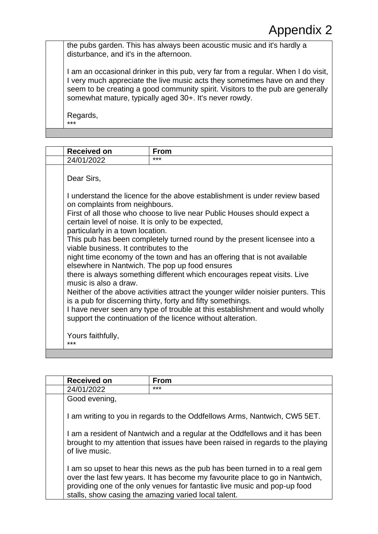the pubs garden. This has always been acoustic music and it's hardly a disturbance, and it's in the afternoon.

I am an occasional drinker in this pub, very far from a regular. When I do visit, I very much appreciate the live music acts they sometimes have on and they seem to be creating a good community spirit. Visitors to the pub are generally somewhat mature, typically aged 30+. It's never rowdy.

Regards, \*\*\*

| <b>Received on</b>                                                                                                                                                               | <b>From</b>                                                                                                                                                                                                                                                                                                                                                                                                                                                                                              |
|----------------------------------------------------------------------------------------------------------------------------------------------------------------------------------|----------------------------------------------------------------------------------------------------------------------------------------------------------------------------------------------------------------------------------------------------------------------------------------------------------------------------------------------------------------------------------------------------------------------------------------------------------------------------------------------------------|
| 24/01/2022                                                                                                                                                                       | ***                                                                                                                                                                                                                                                                                                                                                                                                                                                                                                      |
| Dear Sirs,<br>on complaints from neighbours.<br>certain level of noise. It is only to be expected,<br>particularly in a town location.<br>viable business. It contributes to the | I understand the licence for the above establishment is under review based<br>First of all those who choose to live near Public Houses should expect a<br>This pub has been completely turned round by the present licensee into a                                                                                                                                                                                                                                                                       |
| music is also a draw.<br>Yours faithfully,<br>***                                                                                                                                | night time economy of the town and has an offering that is not available<br>elsewhere in Nantwich. The pop up food ensures<br>there is always something different which encourages repeat visits. Live<br>Neither of the above activities attract the younger wilder noisier punters. This<br>is a pub for discerning thirty, forty and fifty somethings.<br>I have never seen any type of trouble at this establishment and would wholly<br>support the continuation of the licence without alteration. |

| <b>Received on</b>                                                                                                                                                              | <b>From</b>                                                                                                                                                                                                                                                                                      |
|---------------------------------------------------------------------------------------------------------------------------------------------------------------------------------|--------------------------------------------------------------------------------------------------------------------------------------------------------------------------------------------------------------------------------------------------------------------------------------------------|
| 24/01/2022                                                                                                                                                                      | ***                                                                                                                                                                                                                                                                                              |
| Good evening,                                                                                                                                                                   |                                                                                                                                                                                                                                                                                                  |
|                                                                                                                                                                                 | I am writing to you in regards to the Oddfellows Arms, Nantwich, CW5 5ET.                                                                                                                                                                                                                        |
| I am a resident of Nantwich and a regular at the Oddfellows and it has been<br>brought to my attention that issues have been raised in regards to the playing<br>of live music. |                                                                                                                                                                                                                                                                                                  |
|                                                                                                                                                                                 | I am so upset to hear this news as the pub has been turned in to a real gem<br>over the last few years. It has become my favourite place to go in Nantwich,<br>providing one of the only venues for fantastic live music and pop-up food<br>stalls, show casing the amazing varied local talent. |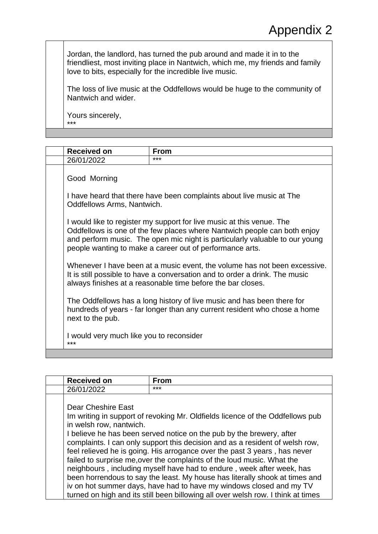Jordan, the landlord, has turned the pub around and made it in to the friendliest, most inviting place in Nantwich, which me, my friends and family love to bits, especially for the incredible live music.

The loss of live music at the Oddfellows would be huge to the community of Nantwich and wider.

Yours sincerely, \*\*\*

| <b>Received on</b>                              | From                                                                                                                                                                                                                                                                                         |
|-------------------------------------------------|----------------------------------------------------------------------------------------------------------------------------------------------------------------------------------------------------------------------------------------------------------------------------------------------|
| 26/01/2022                                      | ***                                                                                                                                                                                                                                                                                          |
| Good Morning                                    |                                                                                                                                                                                                                                                                                              |
| Oddfellows Arms, Nantwich.                      | I have heard that there have been complaints about live music at The                                                                                                                                                                                                                         |
|                                                 | I would like to register my support for live music at this venue. The<br>Oddfellows is one of the few places where Nantwich people can both enjoy<br>and perform music. The open mic night is particularly valuable to our young<br>people wanting to make a career out of performance arts. |
|                                                 | Whenever I have been at a music event, the volume has not been excessive.<br>It is still possible to have a conversation and to order a drink. The music<br>always finishes at a reasonable time before the bar closes.                                                                      |
| next to the pub.                                | The Oddfellows has a long history of live music and has been there for<br>hundreds of years - far longer than any current resident who chose a home                                                                                                                                          |
| I would very much like you to reconsider<br>*** |                                                                                                                                                                                                                                                                                              |
|                                                 |                                                                                                                                                                                                                                                                                              |

| <b>Received on</b>                            | <b>From</b>                                                                                                                                                                                                                                                                                                                                                                                                                                                                                                                                                                                                                                                                                                     |
|-----------------------------------------------|-----------------------------------------------------------------------------------------------------------------------------------------------------------------------------------------------------------------------------------------------------------------------------------------------------------------------------------------------------------------------------------------------------------------------------------------------------------------------------------------------------------------------------------------------------------------------------------------------------------------------------------------------------------------------------------------------------------------|
| 26/01/2022                                    | ***                                                                                                                                                                                                                                                                                                                                                                                                                                                                                                                                                                                                                                                                                                             |
| Dear Cheshire East<br>in welsh row, nantwich. | Im writing in support of revoking Mr. Oldfields licence of the Oddfellows pub<br>I believe he has been served notice on the pub by the brewery, after<br>complaints. I can only support this decision and as a resident of welsh row,<br>feel relieved he is going. His arrogance over the past 3 years, has never<br>failed to surprise me, over the complaints of the loud music. What the<br>neighbours, including myself have had to endure, week after week, has<br>been horrendous to say the least. My house has literally shook at times and<br>iv on hot summer days, have had to have my windows closed and my TV<br>turned on high and its still been billowing all over welsh row. I think at times |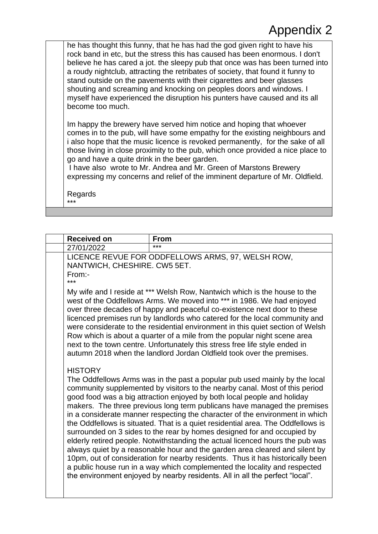he has thought this funny, that he has had the god given right to have his rock band in etc, but the stress this has caused has been enormous. I don't believe he has cared a jot. the sleepy pub that once was has been turned into a roudy nightclub, attracting the retribates of society, that found it funny to stand outside on the pavements with their cigarettes and beer glasses shouting and screaming and knocking on peoples doors and windows. I myself have experienced the disruption his punters have caused and its all become too much.

Im happy the brewery have served him notice and hoping that whoever comes in to the pub, will have some empathy for the existing neighbours and i also hope that the music licence is revoked permanently, for the sake of all those living in close proximity to the pub, which once provided a nice place to go and have a quite drink in the beer garden.

I have also wrote to Mr. Andrea and Mr. Green of Marstons Brewery expressing my concerns and relief of the imminent departure of Mr. Oldfield.

Regards \*\*\*

| <b>Received on</b>                            | <b>From</b>                                                                                                                                                                                                                                                                                                                                                                                                                                                                                                                                                                                                                                                                                                                                                                                                                                                                                                                                                                   |
|-----------------------------------------------|-------------------------------------------------------------------------------------------------------------------------------------------------------------------------------------------------------------------------------------------------------------------------------------------------------------------------------------------------------------------------------------------------------------------------------------------------------------------------------------------------------------------------------------------------------------------------------------------------------------------------------------------------------------------------------------------------------------------------------------------------------------------------------------------------------------------------------------------------------------------------------------------------------------------------------------------------------------------------------|
| 27/01/2022                                    | ***                                                                                                                                                                                                                                                                                                                                                                                                                                                                                                                                                                                                                                                                                                                                                                                                                                                                                                                                                                           |
| NANTWICH, CHESHIRE. CW5 5ET.<br>From:-<br>*** | LICENCE REVUE FOR ODDFELLOWS ARMS, 97, WELSH ROW,                                                                                                                                                                                                                                                                                                                                                                                                                                                                                                                                                                                                                                                                                                                                                                                                                                                                                                                             |
|                                               | My wife and I reside at *** Welsh Row, Nantwich which is the house to the<br>west of the Oddfellows Arms. We moved into *** in 1986. We had enjoyed<br>over three decades of happy and peaceful co-existence next door to these<br>licenced premises run by landlords who catered for the local community and<br>were considerate to the residential environment in this quiet section of Welsh<br>Row which is about a quarter of a mile from the popular night scene area<br>next to the town centre. Unfortunately this stress free life style ended in<br>autumn 2018 when the landlord Jordan Oldfield took over the premises.                                                                                                                                                                                                                                                                                                                                           |
| <b>HISTORY</b>                                | The Oddfellows Arms was in the past a popular pub used mainly by the local<br>community supplemented by visitors to the nearby canal. Most of this period<br>good food was a big attraction enjoyed by both local people and holiday<br>makers. The three previous long term publicans have managed the premises<br>in a considerate manner respecting the character of the environment in which<br>the Oddfellows is situated. That is a quiet residential area. The Oddfellows is<br>surrounded on 3 sides to the rear by homes designed for and occupied by<br>elderly retired people. Notwithstanding the actual licenced hours the pub was<br>always quiet by a reasonable hour and the garden area cleared and silent by<br>10pm, out of consideration for nearby residents. Thus it has historically been<br>a public house run in a way which complemented the locality and respected<br>the environment enjoyed by nearby residents. All in all the perfect "local". |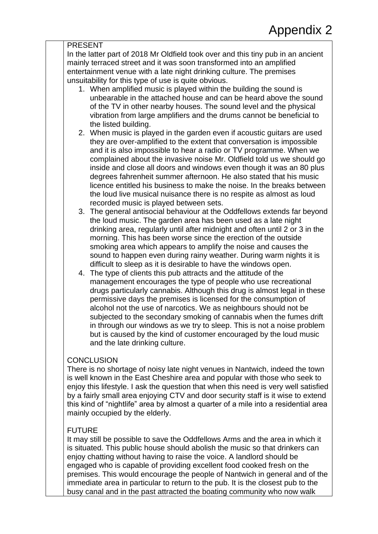| <u>. יו יי</u>                                                                                                                                                                                                                                                                                                                                                                                                                                                                                                                                                                                                                            |  |  |
|-------------------------------------------------------------------------------------------------------------------------------------------------------------------------------------------------------------------------------------------------------------------------------------------------------------------------------------------------------------------------------------------------------------------------------------------------------------------------------------------------------------------------------------------------------------------------------------------------------------------------------------------|--|--|
| <b>PRESENT</b>                                                                                                                                                                                                                                                                                                                                                                                                                                                                                                                                                                                                                            |  |  |
| In the latter part of 2018 Mr Oldfield took over and this tiny pub in an ancient<br>mainly terraced street and it was soon transformed into an amplified<br>entertainment venue with a late night drinking culture. The premises                                                                                                                                                                                                                                                                                                                                                                                                          |  |  |
| unsuitability for this type of use is quite obvious.                                                                                                                                                                                                                                                                                                                                                                                                                                                                                                                                                                                      |  |  |
| 1. When amplified music is played within the building the sound is                                                                                                                                                                                                                                                                                                                                                                                                                                                                                                                                                                        |  |  |
| unbearable in the attached house and can be heard above the sound<br>of the TV in other nearby houses. The sound level and the physical<br>vibration from large amplifiers and the drums cannot be beneficial to<br>the listed building.                                                                                                                                                                                                                                                                                                                                                                                                  |  |  |
| 2. When music is played in the garden even if acoustic guitars are used<br>they are over-amplified to the extent that conversation is impossible<br>and it is also impossible to hear a radio or TV programme. When we<br>complained about the invasive noise Mr. Oldfield told us we should go<br>inside and close all doors and windows even though it was an 80 plus<br>degrees fahrenheit summer afternoon. He also stated that his music<br>licence entitled his business to make the noise. In the breaks between<br>the loud live musical nuisance there is no respite as almost as loud<br>recorded music is played between sets. |  |  |
| The general antisocial behaviour at the Oddfellows extends far beyond<br>3.<br>the loud music. The garden area has been used as a late night<br>drinking area, regularly until after midnight and often until 2 or 3 in the<br>morning. This has been worse since the erection of the outside<br>smoking area which appears to amplify the noise and causes the<br>sound to happen even during rainy weather. During warm nights it is<br>difficult to sleep as it is desirable to have the windows open.                                                                                                                                 |  |  |
| The type of clients this pub attracts and the attitude of the<br>4.<br>management encourages the type of people who use recreational<br>drugs particularly cannabis. Although this drug is almost legal in these<br>permissive days the premises is licensed for the consumption of<br>alcohol not the use of narcotics. We as neighbours should not be<br>subjected to the secondary smoking of cannabis when the fumes drift<br>in through our windows as we try to sleep. This is not a noise problem<br>but is caused by the kind of customer encouraged by the loud music<br>and the late drinking culture.                          |  |  |
| <b>CONCLUSION</b><br>There is no shortage of noisy late night venues in Nantwich, indeed the town<br>is well known in the East Cheshire area and popular with those who seek to<br>enjoy this lifestyle. I ask the question that when this need is very well satisfied<br>by a fairly small area enjoying CTV and door security staff is it wise to extend                                                                                                                                                                                                                                                                                |  |  |
| this kind of "nightlife" area by almost a quarter of a mile into a residential area                                                                                                                                                                                                                                                                                                                                                                                                                                                                                                                                                       |  |  |

#### FUTURE

mainly occupied by the elderly.

It may still be possible to save the Oddfellows Arms and the area in which it is situated. This public house should abolish the music so that drinkers can enjoy chatting without having to raise the voice. A landlord should be engaged who is capable of providing excellent food cooked fresh on the premises. This would encourage the people of Nantwich in general and of the immediate area in particular to return to the pub. It is the closest pub to the busy canal and in the past attracted the boating community who now walk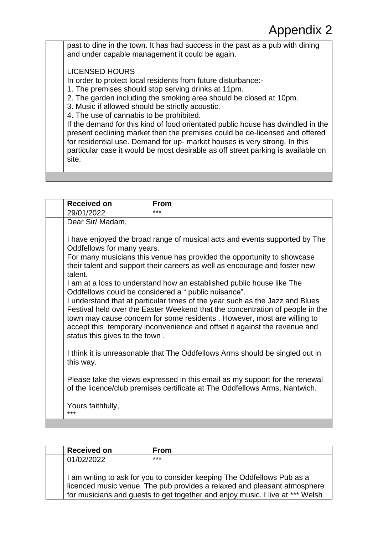past to dine in the town. It has had success in the past as a pub with dining and under capable management it could be again.

LICENSED HOURS

In order to protect local residents from future disturbance:-

1. The premises should stop serving drinks at 11pm.

2. The garden including the smoking area should be closed at 10pm.

3. Music if allowed should be strictly acoustic.

4. The use of cannabis to be prohibited.

If the demand for this kind of food orientated public house has dwindled in the present declining market then the premises could be de-licensed and offered for residential use. Demand for up- market houses is very strong. In this particular case it would be most desirable as off street parking is available on site.

| <b>Received on</b>                    | <b>From</b>                                                                                                                                                                                                                                                                                                                                                                                                                                             |
|---------------------------------------|---------------------------------------------------------------------------------------------------------------------------------------------------------------------------------------------------------------------------------------------------------------------------------------------------------------------------------------------------------------------------------------------------------------------------------------------------------|
| 29/01/2022                            | ***                                                                                                                                                                                                                                                                                                                                                                                                                                                     |
| Dear Sir/ Madam,                      |                                                                                                                                                                                                                                                                                                                                                                                                                                                         |
| Oddfellows for many years.<br>talent. | I have enjoyed the broad range of musical acts and events supported by The<br>For many musicians this venue has provided the opportunity to showcase<br>their talent and support their careers as well as encourage and foster new                                                                                                                                                                                                                      |
| status this gives to the town.        | I am at a loss to understand how an established public house like The<br>Oddfellows could be considered a " public nuisance".<br>I understand that at particular times of the year such as the Jazz and Blues<br>Festival held over the Easter Weekend that the concentration of people in the<br>town may cause concern for some residents . However, most are willing to<br>accept this temporary inconvenience and offset it against the revenue and |
| this way.                             | I think it is unreasonable that The Oddfellows Arms should be singled out in                                                                                                                                                                                                                                                                                                                                                                            |
|                                       | Please take the views expressed in this email as my support for the renewal<br>of the licence/club premises certificate at The Oddfellows Arms, Nantwich.                                                                                                                                                                                                                                                                                               |
| Yours faithfully,<br>***              |                                                                                                                                                                                                                                                                                                                                                                                                                                                         |

| <b>Received on</b> | <b>From</b>                                                                                                                                                                                                                          |
|--------------------|--------------------------------------------------------------------------------------------------------------------------------------------------------------------------------------------------------------------------------------|
| 01/02/2022         | ***                                                                                                                                                                                                                                  |
|                    | I am writing to ask for you to consider keeping The Oddfellows Pub as a<br>licenced music venue. The pub provides a relaxed and pleasant atmosphere<br>for musicians and guests to get together and enjoy music. I live at *** Welsh |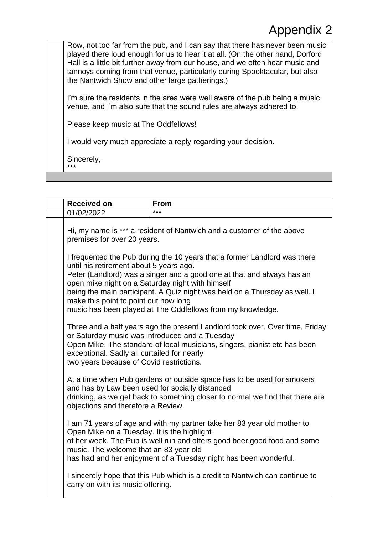Row, not too far from the pub, and I can say that there has never been music played there loud enough for us to hear it at all. (On the other hand, Dorford Hall is a little bit further away from our house, and we often hear music and tannoys coming from that venue, particularly during Spooktacular, but also the Nantwich Show and other large gatherings.)

I'm sure the residents in the area were well aware of the pub being a music venue, and I'm also sure that the sound rules are always adhered to.

Please keep music at The Oddfellows!

I would very much appreciate a reply regarding your decision.

Sincerely, \*\*\*

| <b>Received on</b>                                                                                   | <b>From</b>                                                                                                                                                                                                              |
|------------------------------------------------------------------------------------------------------|--------------------------------------------------------------------------------------------------------------------------------------------------------------------------------------------------------------------------|
| 01/02/2022                                                                                           | ***                                                                                                                                                                                                                      |
| Hi, my name is *** a resident of Nantwich and a customer of the above<br>premises for over 20 years. |                                                                                                                                                                                                                          |
| until his retirement about 5 years ago.                                                              | I frequented the Pub during the 10 years that a former Landlord was there<br>Peter (Landlord) was a singer and a good one at that and always has an                                                                      |
| make this point to point out how long                                                                | open mike night on a Saturday night with himself<br>being the main participant. A Quiz night was held on a Thursday as well. I<br>music has been played at The Oddfellows from my knowledge.                             |
| exceptional. Sadly all curtailed for nearly<br>two years because of Covid restrictions.              | Three and a half years ago the present Landlord took over. Over time, Friday<br>or Saturday music was introduced and a Tuesday<br>Open Mike. The standard of local musicians, singers, pianist etc has been              |
| and has by Law been used for socially distanced<br>objections and therefore a Review.                | At a time when Pub gardens or outside space has to be used for smokers<br>drinking, as we get back to something closer to normal we find that there are                                                                  |
| Open Mike on a Tuesday. It is the highlight<br>music. The welcome that an 83 year old                | I am 71 years of age and with my partner take her 83 year old mother to<br>of her week. The Pub is well run and offers good beer, good food and some<br>has had and her enjoyment of a Tuesday night has been wonderful. |
| carry on with its music offering.                                                                    | I sincerely hope that this Pub which is a credit to Nantwich can continue to                                                                                                                                             |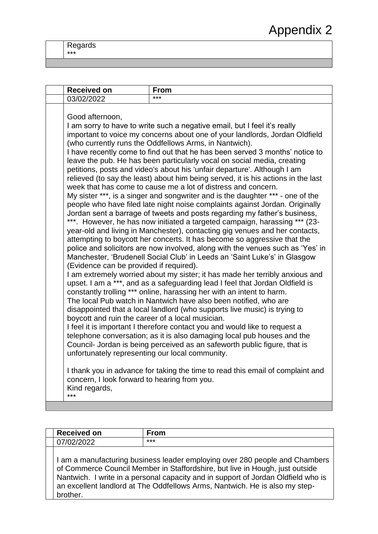Regards \*\*\*

| <b>Received on</b>                                                                                                                                                                                                                        | <b>From</b>                                                                                                                                                                                                                                                                                                                                                                                                                                                                                                                                                                                                                                                                                                                                                                                                                                                                                                                                                                                                                                                                                                                                                                                                                                                                                                                                                                                                                                                                                                                                                                                                                                                                                                                                                                                                                                                                                                                                                                              |
|-------------------------------------------------------------------------------------------------------------------------------------------------------------------------------------------------------------------------------------------|------------------------------------------------------------------------------------------------------------------------------------------------------------------------------------------------------------------------------------------------------------------------------------------------------------------------------------------------------------------------------------------------------------------------------------------------------------------------------------------------------------------------------------------------------------------------------------------------------------------------------------------------------------------------------------------------------------------------------------------------------------------------------------------------------------------------------------------------------------------------------------------------------------------------------------------------------------------------------------------------------------------------------------------------------------------------------------------------------------------------------------------------------------------------------------------------------------------------------------------------------------------------------------------------------------------------------------------------------------------------------------------------------------------------------------------------------------------------------------------------------------------------------------------------------------------------------------------------------------------------------------------------------------------------------------------------------------------------------------------------------------------------------------------------------------------------------------------------------------------------------------------------------------------------------------------------------------------------------------------|
| 03/02/2022                                                                                                                                                                                                                                | $***$                                                                                                                                                                                                                                                                                                                                                                                                                                                                                                                                                                                                                                                                                                                                                                                                                                                                                                                                                                                                                                                                                                                                                                                                                                                                                                                                                                                                                                                                                                                                                                                                                                                                                                                                                                                                                                                                                                                                                                                    |
| Good afternoon,<br>(Evidence can be provided if required).<br>boycott and ruin the career of a local musician.<br>unfortunately representing our local community.<br>concern, I look forward to hearing from you.<br>Kind regards,<br>*** | I am sorry to have to write such a negative email, but I feel it's really<br>important to voice my concerns about one of your landlords, Jordan Oldfield<br>(who currently runs the Oddfellows Arms, in Nantwich).<br>I have recently come to find out that he has been served 3 months' notice to<br>leave the pub. He has been particularly vocal on social media, creating<br>petitions, posts and video's about his 'unfair departure'. Although I am<br>relieved (to say the least) about him being served, it is his actions in the last<br>week that has come to cause me a lot of distress and concern.<br>My sister ***, is a singer and songwriter and is the daughter *** - one of the<br>people who have filed late night noise complaints against Jordan. Originally<br>Jordan sent a barrage of tweets and posts regarding my father's business,<br>***. However, he has now initiated a targeted campaign, harassing *** (23-<br>year-old and living in Manchester), contacting gig venues and her contacts,<br>attempting to boycott her concerts. It has become so aggressive that the<br>police and solicitors are now involved, along with the venues such as 'Yes' in<br>Manchester, 'Brudenell Social Club' in Leeds an 'Saint Luke's' in Glasgow<br>I am extremely worried about my sister; it has made her terribly anxious and<br>upset. I am a ***, and as a safeguarding lead I feel that Jordan Oldfield is<br>constantly trolling *** online, harassing her with an intent to harm.<br>The local Pub watch in Nantwich have also been notified, who are<br>disappointed that a local landlord (who supports live music) is trying to<br>I feel it is important I therefore contact you and would like to request a<br>telephone conversation; as it is also damaging local pub houses and the<br>Council- Jordan is being perceived as an safeworth public figure, that is<br>I thank you in advance for taking the time to read this email of complaint and |

| <b>Received on</b> | <b>From</b>                                                                                                                                                                                                                                                                                                                     |
|--------------------|---------------------------------------------------------------------------------------------------------------------------------------------------------------------------------------------------------------------------------------------------------------------------------------------------------------------------------|
| 07/02/2022         | $***$                                                                                                                                                                                                                                                                                                                           |
| brother.           | I am a manufacturing business leader employing over 280 people and Chambers<br>of Commerce Council Member in Staffordshire, but live in Hough, just outside<br>Nantwich. I write in a personal capacity and in support of Jordan Oldfield who is<br>an excellent landlord at The Oddfellows Arms, Nantwich. He is also my step- |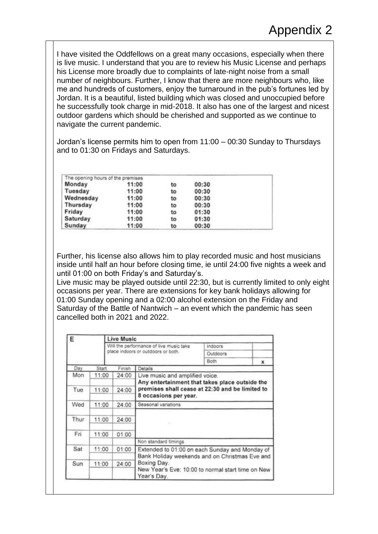I have visited the Oddfellows on a great many occasions, especially when there is live music. I understand that you are to review his Music License and perhaps his License more broadly due to complaints of late-night noise from a small number of neighbours. Further, I know that there are more neighbours who, like me and hundreds of customers, enjoy the turnaround in the pub's fortunes led by Jordan. It is a beautiful, listed building which was closed and unoccupied before he successfully took charge in mid-2018. It also has one of the largest and nicest outdoor gardens which should be cherished and supported as we continue to navigate the current pandemic.

Jordan's license permits him to open from 11:00 – 00:30 Sunday to Thursdays and to 01:30 on Fridays and Saturdays.

| The opening hours of the premises |       |    |       |  |
|-----------------------------------|-------|----|-------|--|
| Monday                            | 11:00 | to | 00:30 |  |
| Tuesday                           | 11:00 | to | 00:30 |  |
| Wednesday                         | 11:00 | to | 00:30 |  |
| Thursday                          | 11:00 | to | 00:30 |  |
| Friday                            | 11:00 | to | 01:30 |  |
| Saturday                          | 11:00 | to | 01:30 |  |
| Sunday                            | 11:00 | to | 00:30 |  |

Further, his license also allows him to play recorded music and host musicians inside until half an hour before closing time, ie until 24:00 five nights a week and until 01:00 on both Friday's and Saturday's.

Live music may be played outside until 22:30, but is currently limited to only eight occasions per year. There are extensions for key bank holidays allowing for 01:00 Sunday opening and a 02:00 alcohol extension on the Friday and Saturday of the Battle of Nantwich – an event which the pandemic has seen cancelled both in 2021 and 2022.

| Е    |       | <b>Live Music</b>                       |                                                                                                                 |                 |   |  |
|------|-------|-----------------------------------------|-----------------------------------------------------------------------------------------------------------------|-----------------|---|--|
|      |       | Will the performance of live music take |                                                                                                                 | indoors         |   |  |
|      |       | place indoors or outdoors or both.      |                                                                                                                 | <b>Outdoors</b> |   |  |
|      |       |                                         | Both                                                                                                            |                 | × |  |
| Day  | Start | Finish                                  | Details                                                                                                         |                 |   |  |
| Mon  | 11:00 | 24:00                                   | Live music and amplified voice.                                                                                 |                 |   |  |
|      |       |                                         | Any entertainment that takes place outside the                                                                  |                 |   |  |
| Tue  | 11:00 | 24:00                                   | premises shall cease at 22:30 and be limited to<br>8 occasions per year.                                        |                 |   |  |
|      |       |                                         |                                                                                                                 |                 |   |  |
| Wed  | 11:00 | 24:00                                   | Seasonal variations                                                                                             |                 |   |  |
| Thur | 11:00 | 24:00                                   | $\sim$                                                                                                          |                 |   |  |
| Fri  | 11:00 | 01:00                                   |                                                                                                                 |                 |   |  |
|      |       |                                         | Non standard timings.                                                                                           |                 |   |  |
| Sat  | 11:00 | 01:00                                   | Extended to 01:00 on each Sunday and Monday of<br>Bank Holiday weekends and on Christmas Eve and<br>Boxing Day. |                 |   |  |
|      |       |                                         |                                                                                                                 |                 |   |  |
| Sun  | 11:00 | 24:00                                   |                                                                                                                 |                 |   |  |
|      |       |                                         | New Year's Eve: 10:00 to normal start time on New<br>Year's Day.                                                |                 |   |  |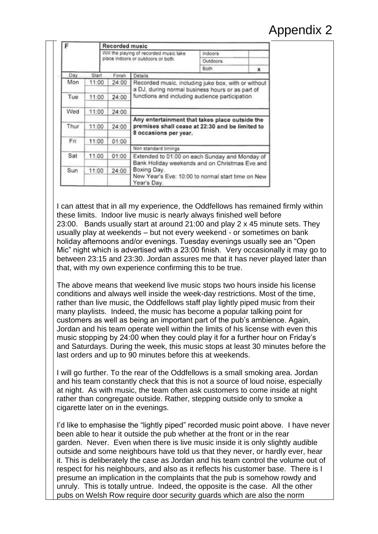| F    |       | <b>Recorded music</b>                   |                                                                  |           |   |  |
|------|-------|-----------------------------------------|------------------------------------------------------------------|-----------|---|--|
|      |       | Will the playing of recorded music take |                                                                  | Indoors   |   |  |
|      |       | place indoors or outdoors or both.      |                                                                  | Outdoors. |   |  |
|      |       |                                         |                                                                  | Both.     | × |  |
| Day  | Start | Finish                                  | Details                                                          |           |   |  |
| Mon  | 11:00 | 24:00                                   | Recorded music, including juke box, with or without              |           |   |  |
|      |       |                                         | a DJ, during normal business hours or as part of                 |           |   |  |
| Tue  | 11:00 | 24:00                                   | functions and including audience participation.                  |           |   |  |
|      |       |                                         |                                                                  |           |   |  |
| Wed  | 11:00 | 24:00                                   |                                                                  |           |   |  |
|      |       |                                         | Any entertainment that takes place outside the                   |           |   |  |
| Thur | 11:00 | 24:00                                   | premises shall cease at 22:30 and be limited to                  |           |   |  |
|      |       |                                         | 8 occasions per year.                                            |           |   |  |
| Fri  | 11:00 | 01:00                                   |                                                                  |           |   |  |
|      |       |                                         | Non standard timings                                             |           |   |  |
| Sat  | 11:00 | 01:00                                   | Extended to 01:00 on each Sunday and Monday of                   |           |   |  |
|      |       |                                         | Bank Holiday weekends and on Christmas Eve and                   |           |   |  |
| Sun  | 11:00 | 24:00                                   | Boxing Day.                                                      |           |   |  |
|      |       |                                         | New Year's Eve: 10:00 to normal start time on New<br>Year's Day. |           |   |  |

I can attest that in all my experience, the Oddfellows has remained firmly within these limits. Indoor live music is nearly always finished well before 23:00. Bands usually start at around 21:00 and play 2 x 45 minute sets. They usually play at weekends – but not every weekend - or sometimes on bank holiday afternoons and/or evenings. Tuesday evenings usually see an "Open Mic" night which is advertised with a 23:00 finish. Very occasionally it may go to between 23:15 and 23:30. Jordan assures me that it has never played later than that, with my own experience confirming this to be true.

The above means that weekend live music stops two hours inside his license conditions and always well inside the week-day restrictions. Most of the time, rather than live music, the Oddfellows staff play lightly piped music from their many playlists. Indeed, the music has become a popular talking point for customers as well as being an important part of the pub's ambience. Again, Jordan and his team operate well within the limits of his license with even this music stopping by 24:00 when they could play it for a further hour on Friday's and Saturdays. During the week, this music stops at least 30 minutes before the last orders and up to 90 minutes before this at weekends.

I will go further. To the rear of the Oddfellows is a small smoking area. Jordan and his team constantly check that this is not a source of loud noise, especially at night. As with music, the team often ask customers to come inside at night rather than congregate outside. Rather, stepping outside only to smoke a cigarette later on in the evenings.

I'd like to emphasise the "lightly piped" recorded music point above. I have never been able to hear it outside the pub whether at the front or in the rear garden. Never. Even when there is live music inside it is only slightly audible outside and some neighbours have told us that they never, or hardly ever, hear it. This is deliberately the case as Jordan and his team control the volume out of respect for his neighbours, and also as it reflects his customer base. There is I presume an implication in the complaints that the pub is somehow rowdy and unruly. This is totally untrue. Indeed, the opposite is the case. All the other pubs on Welsh Row require door security guards which are also the norm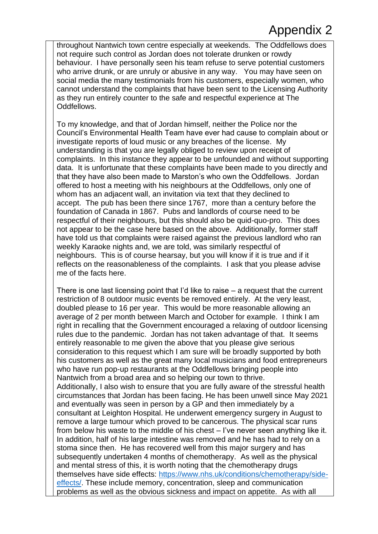throughout Nantwich town centre especially at weekends. The Oddfellows does not require such control as Jordan does not tolerate drunken or rowdy behaviour. I have personally seen his team refuse to serve potential customers who arrive drunk, or are unruly or abusive in any way. You may have seen on social media the many testimonials from his customers, especially women, who cannot understand the complaints that have been sent to the Licensing Authority as they run entirely counter to the safe and respectful experience at The Oddfellows.

To my knowledge, and that of Jordan himself, neither the Police nor the Council's Environmental Health Team have ever had cause to complain about or investigate reports of loud music or any breaches of the license. My understanding is that you are legally obliged to review upon receipt of complaints. In this instance they appear to be unfounded and without supporting data. It is unfortunate that these complaints have been made to you directly and that they have also been made to Marston's who own the Oddfellows. Jordan offered to host a meeting with his neighbours at the Oddfellows, only one of whom has an adjacent wall, an invitation via text that they declined to accept. The pub has been there since 1767, more than a century before the foundation of Canada in 1867. Pubs and landlords of course need to be respectful of their neighbours, but this should also be quid-quo-pro. This does not appear to be the case here based on the above. Additionally, former staff have told us that complaints were raised against the previous landlord who ran weekly Karaoke nights and, we are told, was similarly respectful of neighbours. This is of course hearsay, but you will know if it is true and if it reflects on the reasonableness of the complaints. I ask that you please advise me of the facts here.

There is one last licensing point that I'd like to raise – a request that the current restriction of 8 outdoor music events be removed entirely. At the very least, doubled please to 16 per year. This would be more reasonable allowing an average of 2 per month between March and October for example. I think I am right in recalling that the Government encouraged a relaxing of outdoor licensing rules due to the pandemic. Jordan has not taken advantage of that. It seems entirely reasonable to me given the above that you please give serious consideration to this request which I am sure will be broadly supported by both his customers as well as the great many local musicians and food entrepreneurs who have run pop-up restaurants at the Oddfellows bringing people into Nantwich from a broad area and so helping our town to thrive. Additionally, I also wish to ensure that you are fully aware of the stressful health circumstances that Jordan has been facing. He has been unwell since May 2021 and eventually was seen in person by a GP and then immediately by a consultant at Leighton Hospital. He underwent emergency surgery in August to remove a large tumour which proved to be cancerous. The physical scar runs from below his waste to the middle of his chest – I've never seen anything like it. In addition, half of his large intestine was removed and he has had to rely on a stoma since then. He has recovered well from this major surgery and has subsequently undertaken 4 months of chemotherapy. As well as the physical and mental stress of this, it is worth noting that the chemotherapy drugs themselves have side effects: [https://www.nhs.uk/conditions/chemotherapy/side](https://www.nhs.uk/conditions/chemotherapy/side-effects/)[effects/.](https://www.nhs.uk/conditions/chemotherapy/side-effects/) These include memory, concentration, sleep and communication problems as well as the obvious sickness and impact on appetite. As with all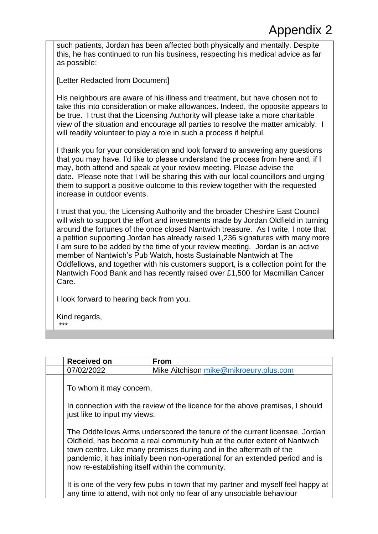such patients, Jordan has been affected both physically and mentally. Despite this, he has continued to run his business, respecting his medical advice as far as possible: **[Letter Redacted from Document]** His neighbours are aware of his illness and treatment, but have chosen not to take this into consideration or make allowances. Indeed, the opposite appears to be true. I trust that the Licensing Authority will please take a more charitable view of the situation and encourage all parties to resolve the matter amicably. I will readily volunteer to play a role in such a process if helpful.

I thank you for your consideration and look forward to answering any questions that you may have. I'd like to please understand the process from here and, if I may, both attend and speak at your review meeting. Please advise the date. Please note that I will be sharing this with our local councillors and urging them to support a positive outcome to this review together with the requested increase in outdoor events.

I trust that you, the Licensing Authority and the broader Cheshire East Council will wish to support the effort and investments made by Jordan Oldfield in turning around the fortunes of the once closed Nantwich treasure. As I write, I note that a petition supporting Jordan has already raised 1,236 signatures with many more I am sure to be added by the time of your review meeting. Jordan is an active member of Nantwich's Pub Watch, hosts Sustainable Nantwich at The Oddfellows, and together with his customers support, is a collection point for the Nantwich Food Bank and has recently raised over £1,500 for Macmillan Cancer Care.

I look forward to hearing back from you.

Kind regards,

\*\*\*

| <b>Received on</b>                                                                                                                                                                                                                                                                                                                                                 | <b>From</b>                                                                                                                                              |  |
|--------------------------------------------------------------------------------------------------------------------------------------------------------------------------------------------------------------------------------------------------------------------------------------------------------------------------------------------------------------------|----------------------------------------------------------------------------------------------------------------------------------------------------------|--|
| 07/02/2022                                                                                                                                                                                                                                                                                                                                                         | Mike Aitchison mike@mikroeury.plus.com                                                                                                                   |  |
| To whom it may concern,                                                                                                                                                                                                                                                                                                                                            |                                                                                                                                                          |  |
| In connection with the review of the licence for the above premises, I should<br>just like to input my views.                                                                                                                                                                                                                                                      |                                                                                                                                                          |  |
| The Oddfellows Arms underscored the tenure of the current licensee, Jordan<br>Oldfield, has become a real community hub at the outer extent of Nantwich<br>town centre. Like many premises during and in the aftermath of the<br>pandemic, it has initially been non-operational for an extended period and is<br>now re-establishing itself within the community. |                                                                                                                                                          |  |
|                                                                                                                                                                                                                                                                                                                                                                    | It is one of the very few pubs in town that my partner and myself feel happy at<br>any time to attend, with not only no fear of any unsociable behaviour |  |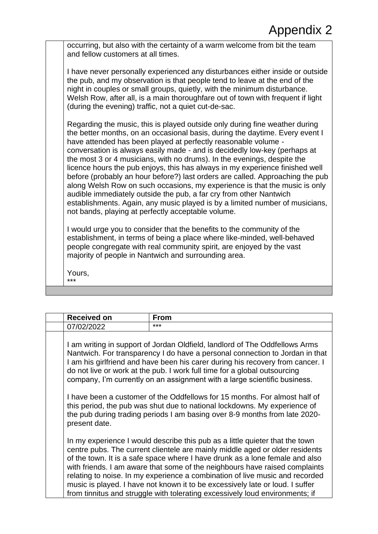occurring, but also with the certainty of a warm welcome from bit the team and fellow customers at all times.

I have never personally experienced any disturbances either inside or outside the pub, and my observation is that people tend to leave at the end of the night in couples or small groups, quietly, with the minimum disturbance. Welsh Row, after all, is a main thoroughfare out of town with frequent if light (during the evening) traffic, not a quiet cut-de-sac.

Regarding the music, this is played outside only during fine weather during the better months, on an occasional basis, during the daytime. Every event I have attended has been played at perfectly reasonable volume conversation is always easily made - and is decidedly low-key (perhaps at the most 3 or 4 musicians, with no drums). In the evenings, despite the licence hours the pub enjoys, this has always in my experience finished well before (probably an hour before?) last orders are called. Approaching the pub along Welsh Row on such occasions, my experience is that the music is only audible immediately outside the pub, a far cry from other Nantwich establishments. Again, any music played is by a limited number of musicians, not bands, playing at perfectly acceptable volume.

I would urge you to consider that the benefits to the community of the establishment, in terms of being a place where like-minded, well-behaved people congregate with real community spirit, are enjoyed by the vast majority of people in Nantwich and surrounding area.

Yours, \*\*\*

| <b>Received on</b>                                                                                                                                                                                                                                                                                                                                                                                      | <b>From</b>                                                                                                                                                                                                                                                                                                                                                                                                                                                                                                                                                                  |  |  |
|---------------------------------------------------------------------------------------------------------------------------------------------------------------------------------------------------------------------------------------------------------------------------------------------------------------------------------------------------------------------------------------------------------|------------------------------------------------------------------------------------------------------------------------------------------------------------------------------------------------------------------------------------------------------------------------------------------------------------------------------------------------------------------------------------------------------------------------------------------------------------------------------------------------------------------------------------------------------------------------------|--|--|
| 07/02/2022                                                                                                                                                                                                                                                                                                                                                                                              | ***                                                                                                                                                                                                                                                                                                                                                                                                                                                                                                                                                                          |  |  |
| I am writing in support of Jordan Oldfield, landlord of The Oddfellows Arms<br>Nantwich. For transparency I do have a personal connection to Jordan in that<br>I am his girlfriend and have been his carer during his recovery from cancer. I<br>do not live or work at the pub. I work full time for a global outsourcing<br>company, I'm currently on an assignment with a large scientific business. |                                                                                                                                                                                                                                                                                                                                                                                                                                                                                                                                                                              |  |  |
| I have been a customer of the Oddfellows for 15 months. For almost half of<br>this period, the pub was shut due to national lockdowns. My experience of<br>the pub during trading periods I am basing over 8-9 months from late 2020-<br>present date.                                                                                                                                                  |                                                                                                                                                                                                                                                                                                                                                                                                                                                                                                                                                                              |  |  |
|                                                                                                                                                                                                                                                                                                                                                                                                         | In my experience I would describe this pub as a little quieter that the town<br>centre pubs. The current clientele are mainly middle aged or older residents<br>of the town. It is a safe space where I have drunk as a lone female and also<br>with friends. I am aware that some of the neighbours have raised complaints<br>relating to noise. In my experience a combination of live music and recorded<br>music is played. I have not known it to be excessively late or loud. I suffer<br>from tinnitus and struggle with tolerating excessively loud environments; if |  |  |